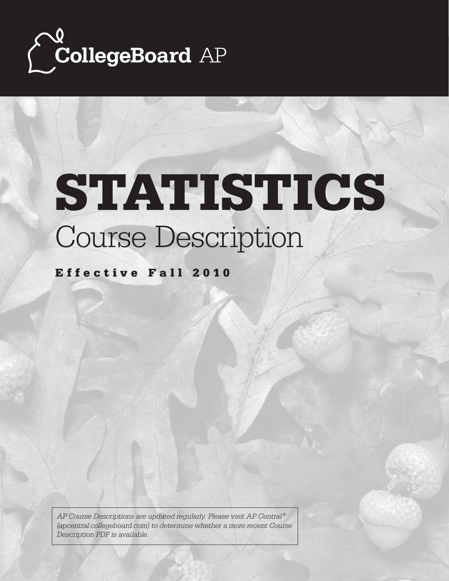

# STATISTICS Course Description

Effective Fall 2010

*AP Course Descriptions are updated regularly. Please visit AP Central ® (apcentral.collegeboard.com) to determine whether a more recent Course Description PDF is available.*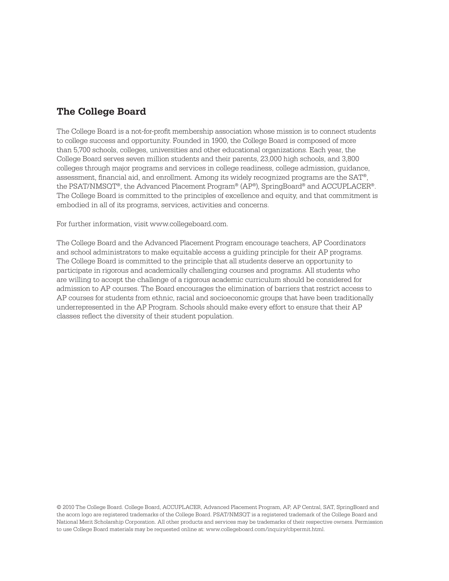# **The College Board**

The College Board is a not-for-profit membership association whose mission is to connect students to college success and opportunity. Founded in 1900, the College Board is composed of more than 5,700 schools, colleges, universities and other educational organizations. Each year, the College Board serves seven million students and their parents, 23,000 high schools, and 3,800 colleges through major programs and services in college readiness, college admission, guidance, assessment, financial aid, and enrollment. Among its widely recognized programs are the SAT®, the PSAT/NMSQT®, the Advanced Placement Program® (AP®), SpringBoard® and ACCUPLACER®. The College Board is committed to the principles of excellence and equity, and that commitment is embodied in all of its programs, services, activities and concerns.

For further information, visit www.collegeboard.com.

The College Board and the Advanced Placement Program encourage teachers, AP Coordinators and school administrators to make equitable access a guiding principle for their AP programs. The College Board is committed to the principle that all students deserve an opportunity to participate in rigorous and academically challenging courses and programs. All students who are willing to accept the challenge of a rigorous academic curriculum should be considered for admission to AP courses. The Board encourages the elimination of barriers that restrict access to AP courses for students from ethnic, racial and socioeconomic groups that have been traditionally underrepresented in the AP Program. Schools should make every effort to ensure that their AP classes reflect the diversity of their student population.

© 2010 The College Board. College Board, ACCUPLACER, Advanced Placement Program, AP, AP Central, SAT, SpringBoard and the acorn logo are registered trademarks of the College Board. PSAT/NMSQT is a registered trademark of the College Board and National Merit Scholarship Corporation. All other products and services may be trademarks of their respective owners. Permission to use College Board materials may be requested online at: www.collegeboard.com/inquiry/cbpermit.html.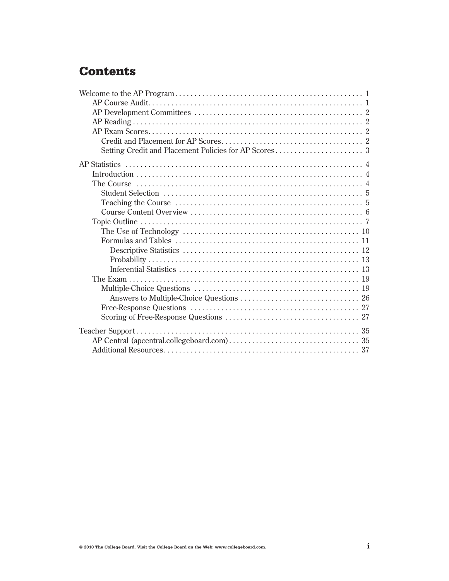# **Contents**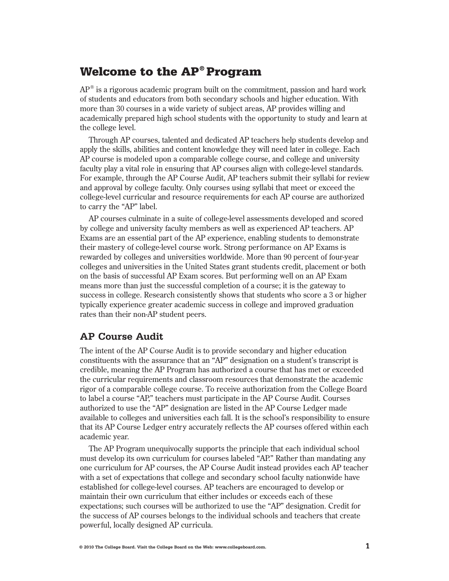# Welcome to the AP<sup>®</sup> Program

 $AP^{\circ}$  is a rigorous academic program built on the commitment, passion and hard work of students and educators from both secondary schools and higher education. With more than 30 courses in a wide variety of subject areas, AP provides willing and academically prepared high school students with the opportunity to study and learn at the college level.

Through AP courses, talented and dedicated AP teachers help students develop and apply the skills, abilities and content knowledge they will need later in college. Each AP course is modeled upon a comparable college course, and college and university faculty play a vital role in ensuring that AP courses align with college-level standards. For example, through the AP Course Audit, AP teachers submit their syllabi for review and approval by college faculty. Only courses using syllabi that meet or exceed the college-level curricular and resource requirements for each AP course are authorized to carry the "AP" label.

AP courses culminate in a suite of college-level assessments developed and scored by college and university faculty members as well as experienced AP teachers. AP Exams are an essential part of the AP experience, enabling students to demonstrate their mastery of college-level course work. Strong performance on AP Exams is rewarded by colleges and universities worldwide. More than 90 percent of four-year colleges and universities in the United States grant students credit, placement or both on the basis of successful AP Exam scores. But performing well on an AP Exam means more than just the successful completion of a course; it is the gateway to success in college. Research consistently shows that students who score a 3 or higher typically experience greater academic success in college and improved graduation rates than their non-AP student peers.

# **AP Course Audit**

The intent of the AP Course Audit is to provide secondary and higher education constituents with the assurance that an "AP" designation on a student's transcript is credible, meaning the AP Program has authorized a course that has met or exceeded the curricular requirements and classroom resources that demonstrate the academic rigor of a comparable college course. To receive authorization from the College Board to label a course "AP," teachers must participate in the AP Course Audit. Courses authorized to use the "AP" designation are listed in the AP Course Ledger made available to colleges and universities each fall. It is the school's responsibility to ensure that its AP Course Ledger entry accurately reflects the AP courses offered within each academic year.

The AP Program unequivocally supports the principle that each individual school must develop its own curriculum for courses labeled "AP." Rather than mandating any one curriculum for AP courses, the AP Course Audit instead provides each AP teacher with a set of expectations that college and secondary school faculty nationwide have established for college-level courses. AP teachers are encouraged to develop or maintain their own curriculum that either includes or exceeds each of these expectations; such courses will be authorized to use the "AP" designation. Credit for the success of AP courses belongs to the individual schools and teachers that create powerful, locally designed AP curricula.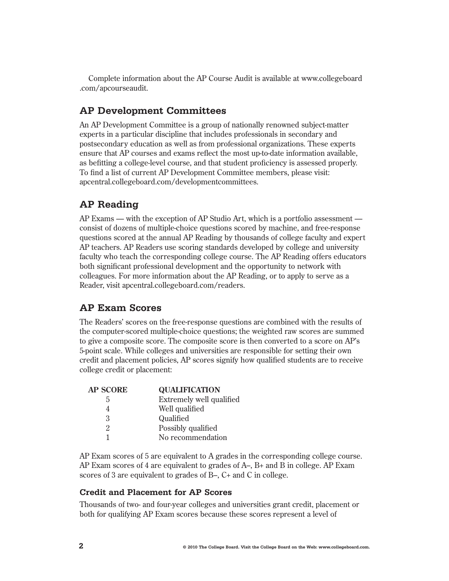Complete information about the AP Course Audit is available at www.collegeboard .com/apcourseaudit.

# **AP Development Committees**

An AP Development Committee is a group of nationally renowned subject-matter experts in a particular discipline that includes professionals in secondary and postsecondary education as well as from professional organizations. These experts ensure that AP courses and exams reflect the most up-to-date information available, as befitting a college-level course, and that student proficiency is assessed properly. To find a list of current AP Development Committee members, please visit: apcentral.collegeboard.com/developmentcommittees.

# **AP Reading**

AP Exams — with the exception of AP Studio Art, which is a portfolio assessment consist of dozens of multiple-choice questions scored by machine, and free-response questions scored at the annual AP Reading by thousands of college faculty and expert AP teachers. AP Readers use scoring standards developed by college and university faculty who teach the corresponding college course. The AP Reading offers educators both significant professional development and the opportunity to network with colleagues. For more information about the AP Reading, or to apply to serve as a Reader, visit apcentral.collegeboard.com/readers.

# **AP Exam Scores**

The Readers' scores on the free-response questions are combined with the results of the computer-scored multiple-choice questions; the weighted raw scores are summed to give a composite score. The composite score is then converted to a score on AP's 5-point scale. While colleges and universities are responsible for setting their own credit and placement policies, AP scores signify how qualified students are to receive college credit or placement:

| <b>AP SCORE</b> | <b>QUALIFICATION</b>     |
|-----------------|--------------------------|
| 5               | Extremely well qualified |
|                 | Well qualified           |
| 3               | Qualified                |
| 9               | Possibly qualified       |
|                 | No recommendation        |

AP Exam scores of 5 are equivalent to A grades in the corresponding college course. AP Exam scores of 4 are equivalent to grades of A–, B+ and B in college. AP Exam scores of 3 are equivalent to grades of B–, C+ and C in college.

# **Credit and Placement for AP Scores**

Thousands of two- and four-year colleges and universities grant credit, placement or both for qualifying AP Exam scores because these scores represent a level of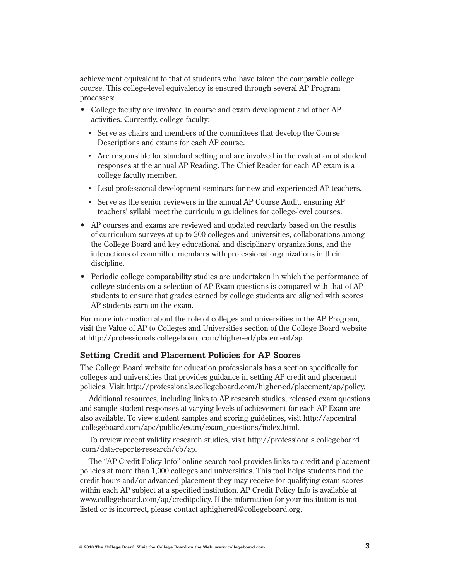achievement equivalent to that of students who have taken the comparable college course. This college-level equivalency is ensured through several AP Program processes:

- College faculty are involved in course and exam development and other AP activities. Currently, college faculty:
	- Serve as chairs and members of the committees that develop the Course Descriptions and exams for each AP course.
	- Are responsible for standard setting and are involved in the evaluation of student responses at the annual AP Reading. The Chief Reader for each AP exam is a college faculty member.
	- Lead professional development seminars for new and experienced AP teachers.
	- Serve as the senior reviewers in the annual AP Course Audit, ensuring AP teachers' syllabi meet the curriculum guidelines for college-level courses.
- AP courses and exams are reviewed and updated regularly based on the results of curriculum surveys at up to 200 colleges and universities, collaborations among the College Board and key educational and disciplinary organizations, and the interactions of committee members with professional organizations in their discipline.
- Periodic college comparability studies are undertaken in which the performance of college students on a selection of AP Exam questions is compared with that of AP students to ensure that grades earned by college students are aligned with scores AP students earn on the exam.

For more information about the role of colleges and universities in the AP Program, visit the Value of AP to Colleges and Universities section of the College Board website at http://professionals.collegeboard.com/higher-ed/placement/ap.

## **Setting Credit and Placement Policies for AP Scores**

The College Board website for education professionals has a section specifically for colleges and universities that provides guidance in setting AP credit and placement policies. Visit http://professionals.collegeboard.com/higher-ed/placement/ap/policy.

Additional resources, including links to AP research studies, released exam questions and sample student responses at varying levels of achievement for each AP Exam are also available. To view student samples and scoring guidelines, visit http://apcentral .collegeboard.com/apc/public/exam/exam\_questions/index.html.

To review recent validity research studies, visit http://professionals.collegeboard .com/data-reports-research/cb/ap.

The "AP Credit Policy Info" online search tool provides links to credit and placement policies at more than 1,000 colleges and universities. This tool helps students find the credit hours and/or advanced placement they may receive for qualifying exam scores within each AP subject at a specified institution. AP Credit Policy Info is available at www.collegeboard.com/ap/creditpolicy. If the information for your institution is not listed or is incorrect, please contact aphighered@collegeboard.org.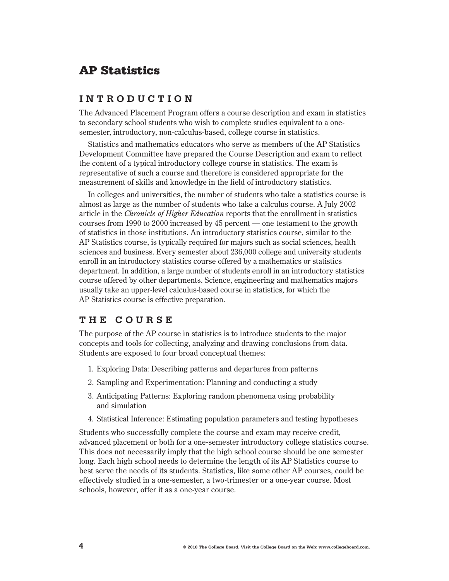# AP Statistics

# **I n t r o d u cti o n**

The Advanced Placement Program offers a course description and exam in statistics to secondary school students who wish to complete studies equivalent to a onesemester, introductory, non-calculus-based, college course in statistics.

Statistics and mathematics educators who serve as members of the AP Statistics Development Committee have prepared the Course Description and exam to reflect the content of a typical introductory college course in statistics. The exam is representative of such a course and therefore is considered appropriate for the measurement of skills and knowledge in the field of introductory statistics.

In colleges and universities, the number of students who take a statistics course is almost as large as the number of students who take a calculus course. A July 2002 article in the *Chronicle of Higher Education* reports that the enrollment in statistics courses from 1990 to 2000 increased by 45 percent — one testament to the growth of statistics in those institutions. An introductory statistics course, similar to the AP Statistics course, is typically required for majors such as social sciences, health sciences and business. Every semester about 236,000 college and university students enroll in an introductory statistics course offered by a mathematics or statistics department. In addition, a large number of students enroll in an introductory statistics course offered by other departments. Science, engineering and mathematics majors usually take an upper-level calculus-based course in statistics, for which the AP Statistics course is effective preparation.

# **T h e C o u r s e**

The purpose of the AP course in statistics is to introduce students to the major concepts and tools for collecting, analyzing and drawing conclusions from data. Students are exposed to four broad conceptual themes:

- 1. Exploring Data: Describing patterns and departures from patterns
- 2. Sampling and Experimentation: Planning and conducting a study
- 3. Anticipating Patterns: Exploring random phenomena using probability and simulation
- 4. Statistical Inference: Estimating population parameters and testing hypotheses

Students who successfully complete the course and exam may receive credit, advanced placement or both for a one-semester introductory college statistics course. This does not necessarily imply that the high school course should be one semester long. Each high school needs to determine the length of its AP Statistics course to best serve the needs of its students. Statistics, like some other AP courses, could be effectively studied in a one-semester, a two-trimester or a one-year course. Most schools, however, offer it as a one-year course.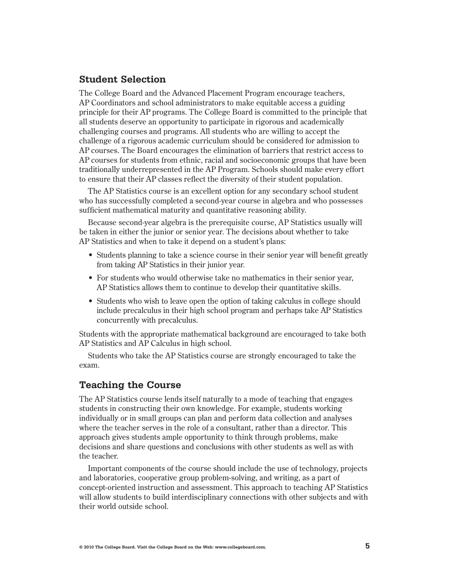# **Student Selection**

The College Board and the Advanced Placement Program encourage teachers, AP Coordinators and school administrators to make equitable access a guiding principle for their AP programs. The College Board is committed to the principle that all students deserve an opportunity to participate in rigorous and academically challenging courses and programs. All students who are willing to accept the challenge of a rigorous academic curriculum should be considered for admission to AP courses. The Board encourages the elimination of barriers that restrict access to AP courses for students from ethnic, racial and socioeconomic groups that have been traditionally underrepresented in the AP Program. Schools should make every effort to ensure that their AP classes reflect the diversity of their student population.

The AP Statistics course is an excellent option for any secondary school student who has successfully completed a second-year course in algebra and who possesses sufficient mathematical maturity and quantitative reasoning ability.

Because second-year algebra is the prerequisite course, AP Statistics usually will be taken in either the junior or senior year. The decisions about whether to take AP Statistics and when to take it depend on a student's plans:

- Students planning to take a science course in their senior year will benefit greatly from taking AP Statistics in their junior year.
- For students who would otherwise take no mathematics in their senior year, AP Statistics allows them to continue to develop their quantitative skills.
- Students who wish to leave open the option of taking calculus in college should include precalculus in their high school program and perhaps take AP Statistics concurrently with precalculus.

Students with the appropriate mathematical background are encouraged to take both AP Statistics and AP Calculus in high school.

Students who take the AP Statistics course are strongly encouraged to take the exam.

# **Teaching the Course**

The AP Statistics course lends itself naturally to a mode of teaching that engages students in constructing their own knowledge. For example, students working individually or in small groups can plan and perform data collection and analyses where the teacher serves in the role of a consultant, rather than a director. This approach gives students ample opportunity to think through problems, make decisions and share questions and conclusions with other students as well as with the teacher.

Important components of the course should include the use of technology, projects and laboratories, cooperative group problem-solving, and writing, as a part of concept-oriented instruction and assessment. This approach to teaching AP Statistics will allow students to build interdisciplinary connections with other subjects and with their world outside school.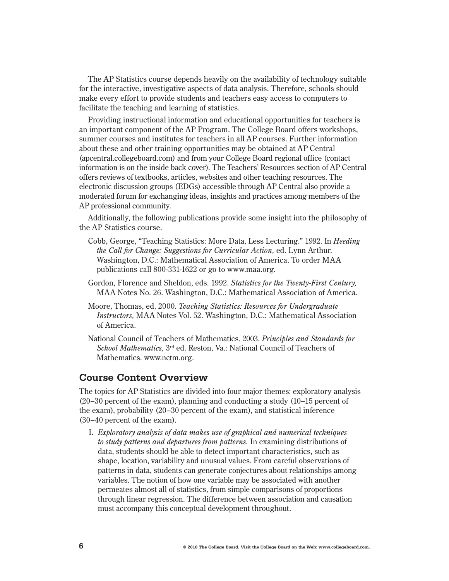The AP Statistics course depends heavily on the availability of technology suitable for the interactive, investigative aspects of data analysis. Therefore, schools should make every effort to provide students and teachers easy access to computers to facilitate the teaching and learning of statistics.

Providing instructional information and educational opportunities for teachers is an important component of the AP Program. The College Board offers workshops, summer courses and institutes for teachers in all AP courses. Further information about these and other training opportunities may be obtained at AP Central (apcentral.collegeboard.com) and from your College Board regional office (contact information is on the inside back cover). The Teachers' Resources section of AP Central offers reviews of textbooks, articles, websites and other teaching resources. The electronic discussion groups (EDGs) accessible through AP Central also provide a moderated forum for exchanging ideas, insights and practices among members of the AP professional community.

Additionally, the following publications provide some insight into the philosophy of the AP Statistics course.

- Cobb, George, "Teaching Statistics: More Data, Less Lecturing." 1992. In *Heeding the Call for Change: Suggestions for Curricular Action,* ed. Lynn Arthur. Washington, D.C.: Mathematical Association of America. To order MAA publications call 800-331-1622 or go to www.maa.org.
- Gordon, Florence and Sheldon, eds. 1992. *Statistics for the Twenty-First Century,* MAA Notes No. 26. Washington, D.C.: Mathematical Association of America.
- Moore, Thomas, ed. 2000. *Teaching Statistics: Resources for Undergraduate Instructors,* MAA Notes Vol. 52. Washington, D.C.: Mathematical Association of America.

National Council of Teachers of Mathematics. 2003. *Principles and Standards for School Mathematics,* 3rd ed. Reston, Va.: National Council of Teachers of Mathematics. www.nctm.org.

# **Course Content Overview**

The topics for AP Statistics are divided into four major themes: exploratory analysis (20–30 percent of the exam), planning and conducting a study (10–15 percent of the exam), probability (20–30 percent of the exam), and statistical inference (30–40 percent of the exam).

I. *Exploratory analysis of data makes use of graphical and numerical techniques to study patterns and departures from patterns.* In examining distributions of data, students should be able to detect important characteristics, such as shape, location, variability and unusual values. From careful observations of patterns in data, students can generate conjectures about relationships among variables. The notion of how one variable may be associated with another permeates almost all of statistics, from simple comparisons of proportions through linear regression. The difference between association and causation must accompany this conceptual development throughout.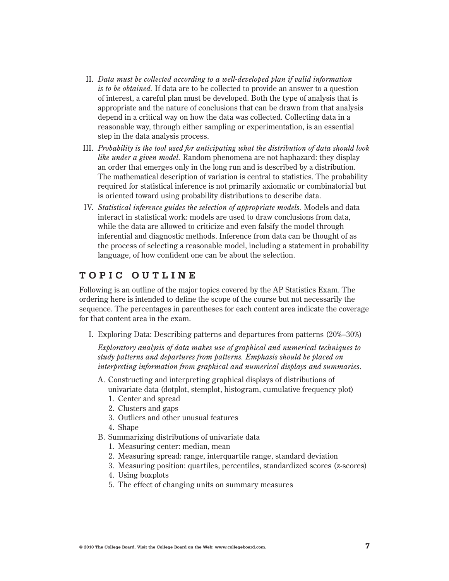- II. *Data must be collected according to a well-developed plan if valid information is to be obtained.* If data are to be collected to provide an answer to a question of interest, a careful plan must be developed. Both the type of analysis that is appropriate and the nature of conclusions that can be drawn from that analysis depend in a critical way on how the data was collected. Collecting data in a reasonable way, through either sampling or experimentation, is an essential step in the data analysis process.
- III. *Probability is the tool used for anticipating what the distribution of data should look like under a given model.* Random phenomena are not haphazard: they display an order that emerges only in the long run and is described by a distribution. The mathematical description of variation is central to statistics. The probability required for statistical inference is not primarily axiomatic or combinatorial but is oriented toward using probability distributions to describe data.
- IV. *Statistical inference guides the selection of appropriate models.* Models and data interact in statistical work: models are used to draw conclusions from data, while the data are allowed to criticize and even falsify the model through inferential and diagnostic methods. Inference from data can be thought of as the process of selecting a reasonable model, including a statement in probability language, of how confident one can be about the selection.

# **T o p ic O u t l i n e**

Following is an outline of the major topics covered by the AP Statistics Exam. The ordering here is intended to define the scope of the course but not necessarily the sequence. The percentages in parentheses for each content area indicate the coverage for that content area in the exam.

I. Exploring Data: Describing patterns and departures from patterns (20%–30%)

 *Exploratory analysis of data makes use of graphical and numerical techniques to study patterns and departures from patterns. Emphasis should be placed on interpreting information from graphical and numerical displays and summaries*.

- A. Constructing and interpreting graphical displays of distributions of univariate data (dotplot, stemplot, histogram, cumulative frequency plot)
	- 1. Center and spread
	- 2. Clusters and gaps
	- 3. Outliers and other unusual features
	- 4. Shape
- B. Summarizing distributions of univariate data
	- 1. Measuring center: median, mean
	- 2. Measuring spread: range, interquartile range, standard deviation
	- 3. Measuring position: quartiles, percentiles, standardized scores (z-scores)
	- 4. Using boxplots
	- 5. The effect of changing units on summary measures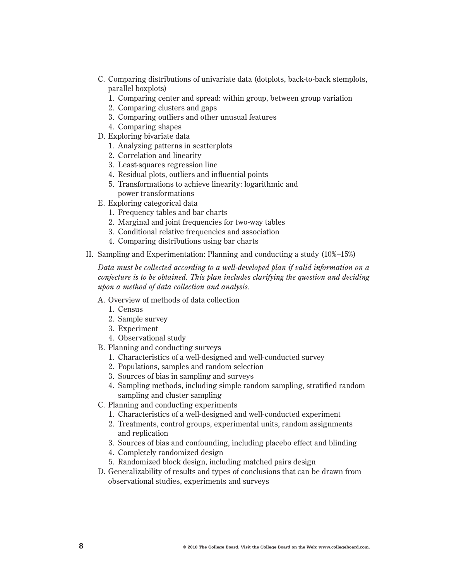- C. Comparing distributions of univariate data (dotplots, back-to-back stemplots, parallel boxplots)
	- 1. Comparing center and spread: within group, between group variation
	- 2. Comparing clusters and gaps
	- 3. Comparing outliers and other unusual features
	- 4. Comparing shapes
- D. Exploring bivariate data
	- 1. Analyzing patterns in scatterplots
	- 2. Correlation and linearity
	- 3. Least-squares regression line
	- 4. Residual plots, outliers and influential points
	- 5. Transformations to achieve linearity: logarithmic and
		- power transformations
- E. Exploring categorical data
	- 1. Frequency tables and bar charts
	- 2. Marginal and joint frequencies for two-way tables
	- 3. Conditional relative frequencies and association
	- 4. Comparing distributions using bar charts
- II. Sampling and Experimentation: Planning and conducting a study (10%–15%)

# *Data must be collected according to a well-developed plan if valid information on a conjecture is to be obtained. This plan includes clarifying the question and deciding upon a method of data collection and analysis.*

## A. Overview of methods of data collection

- 1. Census
- 2. Sample survey
- 3. Experiment
- 4. Observational study
- B. Planning and conducting surveys
	- 1. Characteristics of a well-designed and well-conducted survey
	- 2. Populations, samples and random selection
	- 3. Sources of bias in sampling and surveys
	- 4. Sampling methods, including simple random sampling, stratified random sampling and cluster sampling
- C. Planning and conducting experiments
	- 1. Characteristics of a well-designed and well-conducted experiment
	- 2. Treatments, control groups, experimental units, random assignments and replication
	- 3. Sources of bias and confounding, including placebo effect and blinding
	- 4. Completely randomized design
	- 5. Randomized block design, including matched pairs design
- D. Generalizability of results and types of conclusions that can be drawn from observational studies, experiments and surveys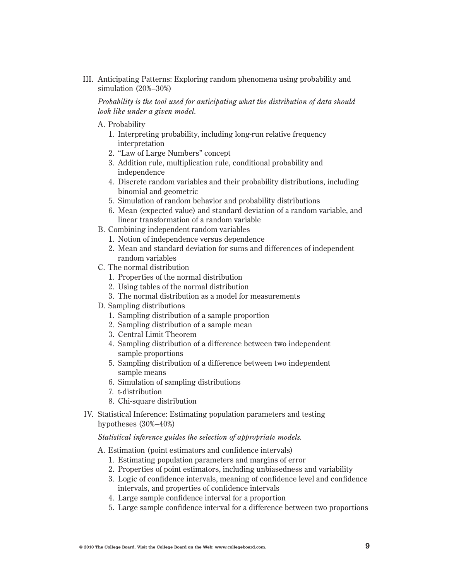III. Anticipating Patterns: Exploring random phenomena using probability and simulation (20%–30%)

 *Probability is the tool used for anticipating what the distribution of data should look like under a given model.*

- A. Probability
	- 1. Interpreting probability, including long-run relative frequency interpretation
	- 2. "Law of Large Numbers" concept
	- 3. Addition rule, multiplication rule, conditional probability and independence
	- 4. Discrete random variables and their probability distributions, including binomial and geometric
	- 5. Simulation of random behavior and probability distributions
	- 6. Mean (expected value) and standard deviation of a random variable, and linear transformation of a random variable
- B. Combining independent random variables
	- 1. Notion of independence versus dependence
	- 2. Mean and standard deviation for sums and differences of independent random variables
- C. The normal distribution
	- 1. Properties of the normal distribution
	- 2. Using tables of the normal distribution
	- 3. The normal distribution as a model for measurements
- D. Sampling distributions
	- 1. Sampling distribution of a sample proportion
	- 2. Sampling distribution of a sample mean
	- 3. Central Limit Theorem
	- 4. Sampling distribution of a difference between two independent sample proportions
	- 5. Sampling distribution of a difference between two independent sample means
	- 6. Simulation of sampling distributions
	- 7. t-distribution
	- 8. Chi-square distribution
- IV. Statistical Inference: Estimating population parameters and testing hypotheses (30%–40%)

## *Statistical inference guides the selection of appropriate models.*

- A. Estimation (point estimators and confidence intervals)
	- 1. Estimating population parameters and margins of error
	- 2. Properties of point estimators, including unbiasedness and variability
	- 3. Logic of confidence intervals, meaning of confidence level and confidence intervals, and properties of confidence intervals
	- 4. Large sample confidence interval for a proportion
	- 5. Large sample confidence interval for a difference between two proportions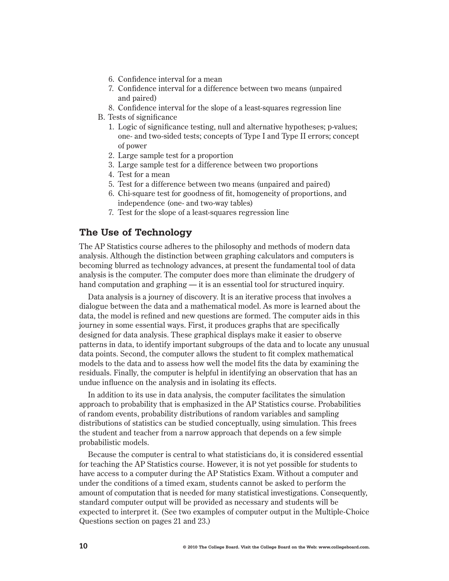- 6. Confidence interval for a mean
- 7. Confidence interval for a difference between two means (unpaired and paired)
- 8. Confidence interval for the slope of a least-squares regression line
- B. Tests of significance
	- 1. Logic of significance testing, null and alternative hypotheses; p-values; one- and two-sided tests; concepts of Type I and Type II errors; concept of power
	- 2. Large sample test for a proportion
	- 3. Large sample test for a difference between two proportions
	- 4. Test for a mean
	- 5. Test for a difference between two means (unpaired and paired)
	- 6. Chi-square test for goodness of fit, homogeneity of proportions, and independence (one- and two-way tables)
	- 7. Test for the slope of a least-squares regression line

## **The Use of Technology**

The AP Statistics course adheres to the philosophy and methods of modern data analysis. Although the distinction between graphing calculators and computers is becoming blurred as technology advances, at present the fundamental tool of data analysis is the computer. The computer does more than eliminate the drudgery of hand computation and graphing — it is an essential tool for structured inquiry.

Data analysis is a journey of discovery. It is an iterative process that involves a dialogue between the data and a mathematical model. As more is learned about the data, the model is refined and new questions are formed. The computer aids in this journey in some essential ways. First, it produces graphs that are specifically designed for data analysis. These graphical displays make it easier to observe patterns in data, to identify important subgroups of the data and to locate any unusual data points. Second, the computer allows the student to fit complex mathematical models to the data and to assess how well the model fits the data by examining the residuals. Finally, the computer is helpful in identifying an observation that has an undue influence on the analysis and in isolating its effects.

In addition to its use in data analysis, the computer facilitates the simulation approach to probability that is emphasized in the AP Statistics course. Probabilities of random events, probability distributions of random variables and sampling distributions of statistics can be studied conceptually, using simulation. This frees the student and teacher from a narrow approach that depends on a few simple probabilistic models.

Because the computer is central to what statisticians do, it is considered essential for teaching the AP Statistics course. However, it is not yet possible for students to have access to a computer during the AP Statistics Exam. Without a computer and under the conditions of a timed exam, students cannot be asked to perform the amount of computation that is needed for many statistical investigations. Consequently, standard computer output will be provided as necessary and students will be expected to interpret it. (See two examples of computer output in the Multiple-Choice Questions section on pages 21 and 23.)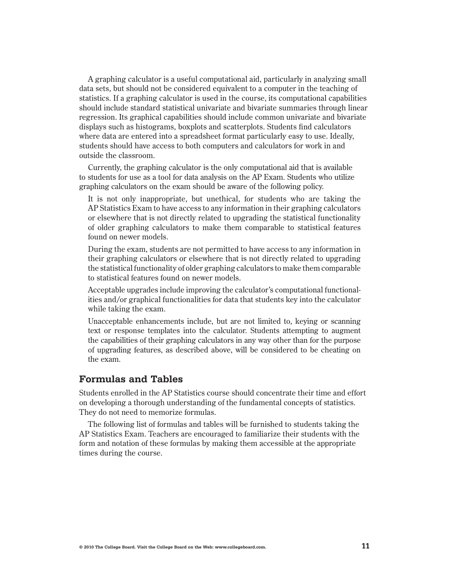A graphing calculator is a useful computational aid, particularly in analyzing small data sets, but should not be considered equivalent to a computer in the teaching of statistics. If a graphing calculator is used in the course, its computational capabilities should include standard statistical univariate and bivariate summaries through linear regression. Its graphical capabilities should include common univariate and bivariate displays such as histograms, boxplots and scatterplots. Students find calculators where data are entered into a spreadsheet format particularly easy to use. Ideally, students should have access to both computers and calculators for work in and outside the classroom.

Currently, the graphing calculator is the only computational aid that is available to students for use as a tool for data analysis on the AP Exam. Students who utilize graphing calculators on the exam should be aware of the following policy.

It is not only inappropriate, but unethical, for students who are taking the AP Statistics Exam to have access to any information in their graphing calculators or elsewhere that is not directly related to upgrading the statistical functionality of older graphing calculators to make them comparable to statistical features found on newer models.

During the exam, students are not permitted to have access to any information in their graphing calculators or elsewhere that is not directly related to upgrading the statistical functionality of older graphing calculators to make them comparable to statistical features found on newer models.

Acceptable upgrades include improving the calculator's computational functionalities and/or graphical functionalities for data that students key into the calculator while taking the exam.

Unacceptable enhancements include, but are not limited to, keying or scanning text or response templates into the calculator. Students attempting to augment the capabilities of their graphing calculators in any way other than for the purpose of upgrading features, as described above, will be considered to be cheating on the exam.

# **Formulas and Tables**

Students enrolled in the AP Statistics course should concentrate their time and effort on developing a thorough understanding of the fundamental concepts of statistics. They do not need to memorize formulas.

The following list of formulas and tables will be furnished to students taking the AP Statistics Exam. Teachers are encouraged to familiarize their students with the form and notation of these formulas by making them accessible at the appropriate times during the course.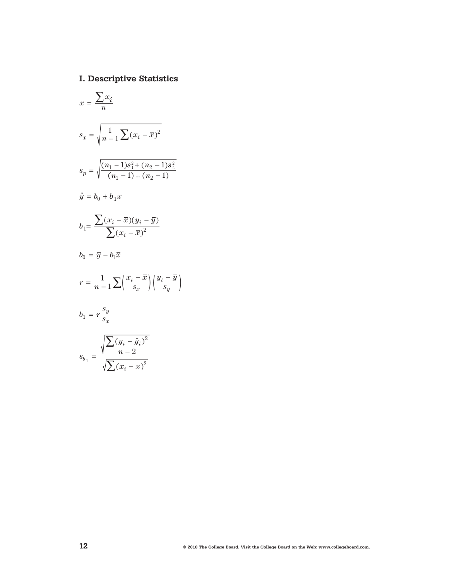# **I. Descriptive Statistics**

$$
\bar{x} = \frac{\sum x_i}{n}
$$
\n
$$
s_x = \sqrt{\frac{1}{n-1} \sum (x_i - \bar{x})^2}
$$
\n
$$
s_p = \sqrt{\frac{(n_1 - 1)s_1^2 + (n_2 - 1)s_2^2}{(n_1 - 1) + (n_2 - 1)}}
$$
\n
$$
\hat{y} = b_0 + b_1 x
$$
\n
$$
b_1 = \frac{\sum (x_i - \bar{x})(y_i - \bar{y})}{\sum (x_i - \bar{x})^2}
$$
\n
$$
b_0 = \bar{y} - b_1 \bar{x}
$$
\n
$$
r = \frac{1}{n-1} \sum \left(\frac{x_i - \bar{x}}{s_x}\right) \left(\frac{y_i - \bar{y}}{s_y}\right)
$$
\n
$$
b_1 = r \frac{s_y}{s_x}
$$
\n
$$
s_{b_1} = \frac{\sqrt{\sum (y_i - \hat{y}_i)^2}}{\sqrt{\sum (x_i - \bar{x})^2}}
$$

 $\backslash$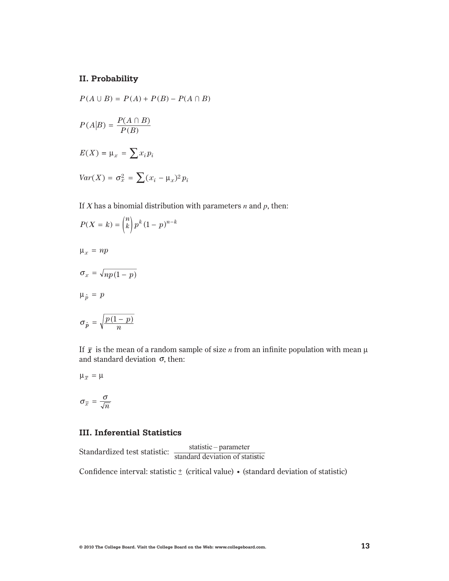# **II. Probability**

$$
P(A \cup B) = P(A) + P(B) - P(A \cap B)
$$
  

$$
P(A|B) = \frac{P(A \cap B)}{P(B)}
$$
  

$$
E(X) = \mu_x = \sum x_i p_i
$$
  

$$
Var(X) = \sigma_x^2 = \sum (x_i - \mu_x)^2 p_i
$$

If  $X$  has a binomial distribution with parameters  $n$  and  $p$ , then:

$$
P(X = k) = {n \choose k} p^{k} (1 - p)^{n - k}
$$
  

$$
\mu_x = np
$$
  

$$
\sigma_x = \sqrt{np(1 - p)}
$$
  

$$
\mu_{\hat{p}} = p
$$
  

$$
\sigma_{\hat{p}} = \sqrt{\frac{p(1 - p)}{n}}
$$

If  $\bar{x}$  is the mean of a random sample of size *n* from an infinite population with mean  $\mu$ and standard deviation  $\sigma$ , then:

$$
\mu_{\bar{x}}\,=\,\mu
$$

$$
\sigma_{\overline{x}} = \frac{\sigma}{\sqrt{n}}
$$

## **III. Inferential Statistics**

Standardized test statistic: statistic – parameter<br>standard deviation of statistic

Confidence interval: statistic  $\pm$  (critical value) • (standard deviation of statistic)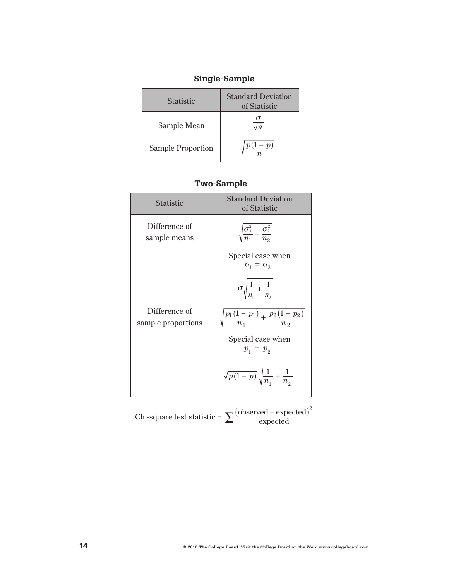# **Single-Sample**

| <b>Statistic</b>  | <b>Standard Deviation</b><br>of Statistic |
|-------------------|-------------------------------------------|
| Sample Mean       | $\ln$                                     |
| Sample Proportion | - p)                                      |

# **Two-Sample**

| <b>Statistic</b>                    | <b>Standard Deviation</b><br>of Statistic                |
|-------------------------------------|----------------------------------------------------------|
| Difference of<br>sample means       | $\sqrt{\frac{\sigma_1^2}{n_1} + \frac{\sigma_2^2}{n_2}}$ |
|                                     | Special case when<br>$\sigma_1 = \sigma_2$               |
|                                     | $\sigma \sqrt{\frac{1}{n} + \frac{1}{n_{\rm s}}}$        |
| Difference of<br>sample proportions | $\frac{p_1(1-p_1)}{n_1} + \frac{p_2(1-p_2)}{n_2}$        |
|                                     | Special case when<br>$p_{1} = p_{2}$                     |
|                                     | $\sqrt{p(1-p)}\sqrt{\frac{1}{n}} + \frac{1}{n_{\circ}}$  |

Chi-square test statistic = 
$$
\sum \frac{\text{(observed - expected)}^2}{\text{expected}}
$$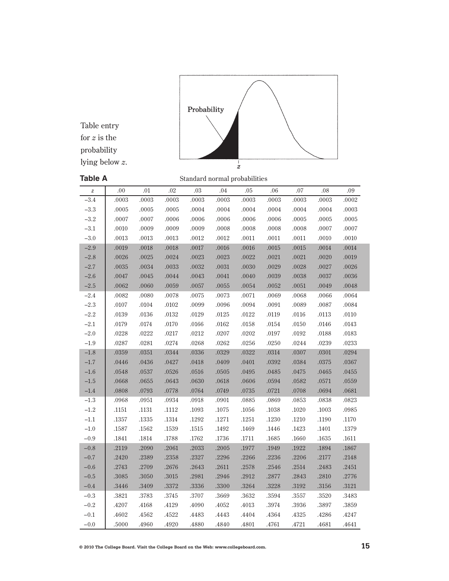

Table entry for *z* is the probability lying below *z*.

| <b>Table A</b>   |         | Standard normal probabilities |       |           |           |           |           |           |           |       |  |
|------------------|---------|-------------------------------|-------|-----------|-----------|-----------|-----------|-----------|-----------|-------|--|
| $\boldsymbol{z}$ | .00     | .01                           | .02   | .03       | .04       | .05       | .06       | .07       | $.08\,$   | .09   |  |
| $-3.4$           | .0003   | .0003                         | .0003 | .0003     | .0003     | .0003     | .0003     | .0003     | .0003     | .0002 |  |
| $-3.3$           | .0005   | .0005                         | .0005 | .0004     | .0004     | .0004     | .0004     | .0004     | .0004     | .0003 |  |
| $-3.2$           | .0007   | .0007                         | .0006 | .0006     | .0006     | .0006     | .0006     | .0005     | .0005     | .0005 |  |
| $-3.1$           | .0010   | .0009                         | .0009 | .0009     | .0008     | .0008     | .0008     | .0008     | .0007     | .0007 |  |
| $-3.0$           | .0013   | .0013                         | .0013 | .0012     | .0012     | .0011     | .0011     | .0011     | .0010     | .0010 |  |
| $-2.9$           | .0019   | .0018                         | .0018 | .0017     | .0016     | .0016     | .0015     | .0015     | .0014     | .0014 |  |
| $-2.8$           | .0026   | .0025                         | .0024 | .0023     | .0023     | .0022     | .0021     | .0021     | .0020     | .0019 |  |
| $-2.7$           | .0035   | .0034                         | .0033 | .0032     | .0031     | .0030     | .0029     | .0028     | .0027     | .0026 |  |
| $-2.6$           | .0047   | .0045                         | .0044 | .0043     | .0041     | .0040     | .0039     | .0038     | .0037     | .0036 |  |
| $-2.5$           | .0062   | .0060                         | .0059 | .0057     | .0055     | .0054     | .0052     | .0051     | .0049     | .0048 |  |
| $-2.4$           | .0082   | .0080                         | .0078 | .0075     | .0073     | .0071     | .0069     | .0068     | .0066     | .0064 |  |
| $-2.3$           | $.0107$ | .0104                         | .0102 | .0099     | $.0096\,$ | $.0094\,$ | .0091     | .0089     | .0087     | .0084 |  |
| $-2.2$           | .0139   | .0136                         | .0132 | .0129     | .0125     | .0122     | .0119     | .0116     | .0113     | .0110 |  |
| $-2.1$           | .0179   | .0174                         | .0170 | .0166     | .0162     | $.0158\,$ | $.0154\,$ | .0150     | .0146     | .0143 |  |
| $-2.0$           | .0228   | .0222                         | .0217 | $.0212\,$ | .0207     | .0202     | .0197     | .0192     | .0188     | .0183 |  |
| $-1.9$           | .0287   | .0281                         | .0274 | .0268     | $.0262\,$ | $.0256\,$ | .0250     | $.0244\,$ | .0239     | .0233 |  |
| $-1.8$           | .0359   | .0351                         | .0344 | .0336     | .0329     | .0322     | .0314     | .0307     | .0301     | .0294 |  |
| $-1.7$           | .0446   | $.0436\,$                     | .0427 | .0418     | .0409     | .0401     | .0392     | .0384     | .0375     | .0367 |  |
| $-1.6$           | .0548   | $.0537\,$                     | .0526 | .0516     | $.0505\,$ | .0495     | .0485     | .0475     | .0465     | .0455 |  |
| $-1.5$           | .0668   | .0655                         | .0643 | .0630     | .0618     | .0606     | .0594     | .0582     | .0571     | .0559 |  |
| $-1.4$           | .0808   | .0793                         | .0778 | $.0764\,$ | .0749     | $.0735\,$ | .0721     | .0708     | .0694     | .0681 |  |
| $-1.3$           | .0968   | .0951                         | .0934 | .0918     | .0901     | .0885     | .0869     | .0853     | .0838     | .0823 |  |
| $-1.2$           | .1151   | $.1131\,$                     | .1112 | $.1093\,$ | $.1075\,$ | $.1056\,$ | $.1038\,$ | $.1020\,$ | .1003     | .0985 |  |
| $-1.1$           | .1357   | .1335                         | .1314 | $.1292\,$ | .1271     | $.1251\,$ | $.1230\,$ | .1210     | .1190     | .1170 |  |
| $-1.0$           | .1587   | .1562                         | .1539 | .1515     | .1492     | .1469     | .1446     | .1423     | .1401     | .1379 |  |
| $-0.9$           | .1841   | .1814                         | .1788 | .1762     | $.1736\,$ | .1711     | .1685     | .1660     | .1635     | .1611 |  |
| $-0.8$           | .2119   | .2090                         | .2061 | $.2033\,$ | .2005     | .1977     | .1949     | .1922     | .1894     | .1867 |  |
| $-0.7$           | .2420   | .2389                         | .2358 | .2327     | .2296     | .2266     | .2236     | .2206     | .2177     | .2148 |  |
| $-0.6$           | .2743   | .2709                         | .2676 | .2643     | .2611     | .2578     | .2546     | .2514     | .2483     | .2451 |  |
| $-0.5$           | .3085   | .3050                         | .3015 | .2981     | .2946     | .2912     | .2877     | .2843     | .2810     | .2776 |  |
| $-0.4$           | .3446   | .3409                         | .3372 | .3336     | .3300     | .3264     | .3228     | .3192     | $.3156\,$ | .3121 |  |
| $-0.3$           | .3821   | .3783                         | .3745 | .3707     | .3669     | .3632     | .3594     | .3557     | .3520     | .3483 |  |
| $-0.2$           | .4207   | .4168                         | .4129 | .4090     | $.4052\,$ | $.4013\,$ | .3974     | .3936     | .3897     | .3859 |  |
| $-0.1$           | .4602   | .4562                         | .4522 | .4483     | .4443     | .4404     | .4364     | .4325     | .4286     | .4247 |  |
| $-0.0$           | .5000   | .4960                         | .4920 | .4880     | .4840     | .4801     | .4761     | .4721     | .4681     | .4641 |  |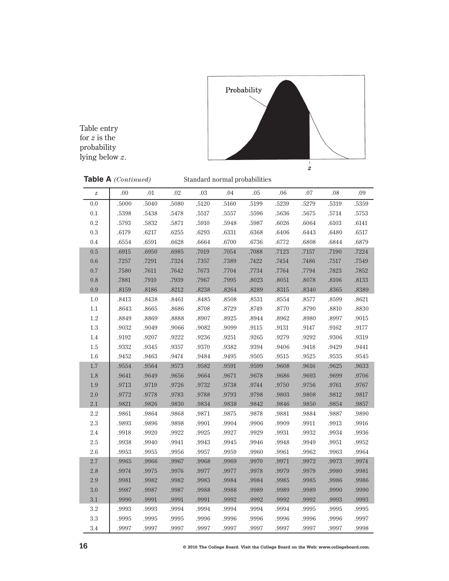

Table entry for *z* is the probability lying below *z*.

|                  | Table A (Continued) |       |       |       | Standard normal probabilities |       |           |       |       |           |
|------------------|---------------------|-------|-------|-------|-------------------------------|-------|-----------|-------|-------|-----------|
| $\boldsymbol{z}$ | .00                 | .01   | .02   | .03   | .04                           | .05   | .06       | .07   | .08   | .09       |
| 0.0              | .5000               | .5040 | .5080 | .5120 | .5160                         | .5199 | .5239     | .5279 | .5319 | .5359     |
| $0.1\,$          | .5398               | .5438 | .5478 | .5517 | .5557                         | .5596 | .5636     | .5675 | .5714 | .5753     |
| 0.2              | .5793               | .5832 | .5871 | .5910 | .5948                         | .5987 | .6026     | .6064 | .6103 | .6141     |
| $\rm 0.3$        | .6179               | .6217 | .6255 | .6293 | .6331                         | .6368 | .6406     | .6443 | .6480 | .6517     |
| 0.4              | .6554               | .6591 | .6628 | .6664 | .6700                         | .6736 | .6772     | .6808 | .6844 | .6879     |
| 0.5              | .6915               | .6950 | .6985 | .7019 | .7054                         | .7088 | .7123     | .7157 | .7190 | .7224     |
| 0.6              | .7257               | .7291 | .7324 | .7357 | .7389                         | .7422 | .7454     | .7486 | .7517 | .7549     |
| 0.7              | .7580               | .7611 | .7642 | .7673 | .7704                         | .7734 | .7764     | .7794 | .7823 | .7852     |
| 0.8              | .7881               | .7910 | .7939 | .7967 | .7995                         | .8023 | .8051     | .8078 | .8106 | .8133     |
| 0.9              | .8159               | .8186 | .8212 | .8238 | .8264                         | .8289 | .8315     | .8340 | .8365 | .8389     |
| 1.0              | .8413               | .8438 | .8461 | .8485 | .8508                         | .8531 | .8554     | .8577 | .8599 | .8621     |
| $1.1\,$          | .8643               | .8665 | .8686 | .8708 | .8729                         | .8749 | .8770     | .8790 | .8810 | .8830     |
| $1.2\,$          | .8849               | .8869 | .8888 | .8907 | .8925                         | .8944 | .8962     | .8980 | .8997 | $.9015\,$ |
| 1.3              | .9032               | .9049 | .9066 | .9082 | .9099                         | .9115 | .9131     | .9147 | .9162 | .9177     |
| $1.4\,$          | .9192               | .9207 | .9222 | .9236 | .9251                         | .9265 | .9279     | .9292 | .9306 | .9319     |
| $1.5\,$          | .9332               | .9345 | .9357 | .9370 | .9382                         | .9394 | $.9406\,$ | .9418 | .9429 | .9441     |
| 1.6              | .9452               | .9463 | .9474 | .9484 | .9495                         | .9505 | .9515     | .9525 | .9535 | .9545     |
| $1.7\,$          | .9554               | .9564 | .9573 | .9582 | .9591                         | .9599 | .9608     | .9616 | .9625 | .9633     |
| 1.8              | .9641               | .9649 | .9656 | .9664 | .9671                         | .9678 | .9686     | .9693 | .9699 | .9706     |
| 1.9              | .9713               | .9719 | .9726 | .9732 | .9738                         | .9744 | .9750     | .9756 | .9761 | .9767     |
| 2.0              | .9772               | .9778 | .9783 | .9788 | .9793                         | .9798 | .9803     | .9808 | .9812 | .9817     |
| 2.1              | .9821               | .9826 | .9830 | .9834 | .9838                         | .9842 | .9846     | .9850 | .9854 | .9857     |
| $2.2\,$          | .9861               | .9864 | .9868 | .9871 | .9875                         | .9878 | .9881     | .9884 | .9887 | .9890     |
| $2.3\,$          | .9893               | .9896 | .9898 | .9901 | .9904                         | .9906 | .9909     | .9911 | .9913 | .9916     |
| 2.4              | .9918               | .9920 | .9922 | .9925 | .9927                         | .9929 | .9931     | .9932 | .9934 | .9936     |
| $2.5\,$          | .9938               | .9940 | .9941 | .9943 | $.9945\,$                     | .9946 | .9948     | .9949 | .9951 | .9952     |
| 2.6              | .9953               | .9955 | .9956 | .9957 | .9959                         | .9960 | .9961     | .9962 | .9963 | .9964     |
| 2.7              | .9965               | .9966 | .9967 | .9968 | .9969                         | .9970 | .9971     | .9972 | .9973 | .9974     |
| 2.8              | .9974               | .9975 | .9976 | .9977 | .9977                         | .9978 | .9979     | .9979 | .9980 | .9981     |
| 2.9              | .9981               | .9982 | .9982 | .9983 | .9984                         | .9984 | .9985     | .9985 | .9986 | .9986     |
| 3.0              | .9987               | .9987 | .9987 | .9988 | .9988                         | .9989 | .9989     | .9989 | .9990 | .9990     |
| 3.1              | .9990               | .9991 | .9991 | .9991 | .9992                         | .9992 | .9992     | .9992 | .9993 | .9993     |
| 3.2              | .9993               | .9993 | .9994 | .9994 | .9994                         | .9994 | .9994     | .9995 | .9995 | .9995     |
| 3.3              | .9995               | .9995 | .9995 | .9996 | .9996                         | .9996 | .9996     | .9996 | .9996 | .9997     |
| 3.4              | .9997               | .9997 | .9997 | .9997 | .9997                         | .9997 | .9997     | .9997 | .9997 | .9998     |

**© 2010 The College Board. Visit the College Board on the Web: www.collegeboard.com.**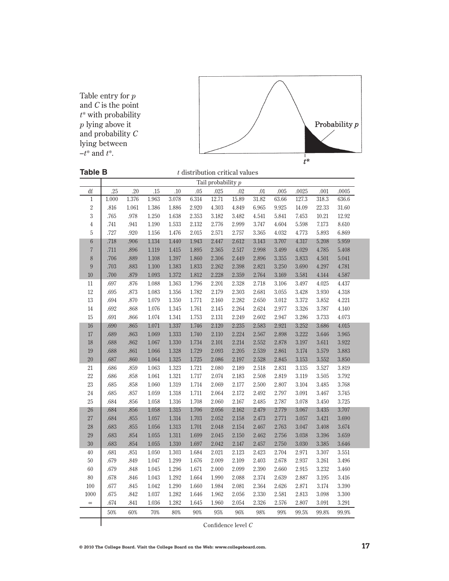Table entry for *p* and *C* is the point  $t^\ast$  with probability *p* lying above it and probability *C* lying between –*t*\* and *t*\*.



| <b>Table B</b>          | $t$ distribution critical values |          |           |       |       |       |                      |       |           |       |       |       |
|-------------------------|----------------------------------|----------|-----------|-------|-------|-------|----------------------|-------|-----------|-------|-------|-------|
|                         | Tail probability p               |          |           |       |       |       |                      |       |           |       |       |       |
| df                      | .25                              | .20      | .15       | .10   | .05   | .025  | .02                  | .01   | .005      | .0025 | .001  | .0005 |
| $\overline{1}$          | 1.000                            | 1.376    | 1.963     | 3.078 | 6.314 | 12.71 | 15.89                | 31.82 | 63.66     | 127.3 | 318.3 | 636.6 |
| $\overline{\mathbf{c}}$ | .816                             | 1.061    | 1.386     | 1.886 | 2.920 | 4.303 | 4.849                | 6.965 | 9.925     | 14.09 | 22.33 | 31.60 |
| 3                       | .765                             | .978     | 1.250     | 1.638 | 2.353 | 3.182 | 3.482                | 4.541 | 5.841     | 7.453 | 10.21 | 12.92 |
| $\overline{4}$          | .741                             | .941     | 1.190     | 1.533 | 2.132 | 2.776 | 2.999                | 3.747 | 4.604     | 5.598 | 7.173 | 8.610 |
| 5                       | .727                             | .920     | 1.156     | 1.476 | 2.015 | 2.571 | 2.757                | 3.365 | 4.032     | 4.773 | 5.893 | 6.869 |
| $\boldsymbol{6}$        | .718                             | .906     | 1.134     | 1.440 | 1.943 | 2.447 | 2.612                | 3.143 | 3.707     | 4.317 | 5.208 | 5.959 |
| $\overline{7}$          | .711                             | .896     | 1.119     | 1.415 | 1.895 | 2.365 | 2.517                | 2.998 | 3.499     | 4.029 | 4.785 | 5.408 |
| 8                       | .706                             | .889     | 1.108     | 1.397 | 1.860 | 2.306 | 2.449                | 2.896 | $3.355\,$ | 3.833 | 4.501 | 5.041 |
| $\overline{9}$          | .703                             | .883     | 1.100     | 1.383 | 1.833 | 2.262 | 2.398                | 2.821 | 3.250     | 3.690 | 4.297 | 4.781 |
| $10$                    | .700                             | .879     | 1.093     | 1.372 | 1.812 | 2.228 | 2.359                | 2.764 | 3.169     | 3.581 | 4.144 | 4.587 |
| $11\,$                  | .697                             | .876     | 1.088     | 1.363 | 1.796 | 2.201 | 2.328                | 2.718 | 3.106     | 3.497 | 4.025 | 4.437 |
| $12\,$                  | .695                             | .873     | 1.083     | 1.356 | 1.782 | 2.179 | 2.303                | 2.681 | 3.055     | 3.428 | 3.930 | 4.318 |
| $13\,$                  | .694                             | .870     | 1.079     | 1.350 | 1.771 | 2.160 | 2.282                | 2.650 | 3.012     | 3.372 | 3.852 | 4.221 |
| 14                      | .692                             | .868     | 1.076     | 1.345 | 1.761 | 2.145 | 2.264                | 2.624 | 2.977     | 3.326 | 3.787 | 4.140 |
| 15                      | .691                             | .866     | 1.074     | 1.341 | 1.753 | 2.131 | 2.249                | 2.602 | 2.947     | 3.286 | 3.733 | 4.073 |
| 16                      | .690                             | .865     | 1.071     | 1.337 | 1.746 | 2.120 | 2.235                | 2.583 | 2.921     | 3.252 | 3.686 | 4.015 |
| 17                      | .689                             | .863     | 1.069     | 1.333 | 1.740 | 2.110 | 2.224                | 2.567 | 2.898     | 3.222 | 3.646 | 3.965 |
| 18                      | .688                             | .862     | 1.067     | 1.330 | 1.734 | 2.101 | 2.214                | 2.552 | 2.878     | 3.197 | 3.611 | 3.922 |
| 19                      | .688                             | .861     | 1.066     | 1.328 | 1.729 | 2.093 | 2.205                | 2.539 | 2.861     | 3.174 | 3.579 | 3.883 |
| 20                      | .687                             | .860     | 1.064     | 1.325 | 1.725 | 2.086 | 2.197                | 2.528 | 2.845     | 3.153 | 3.552 | 3.850 |
| 21                      | .686                             | .859     | 1.063     | 1.323 | 1.721 | 2.080 | 2.189                | 2.518 | 2.831     | 3.135 | 3.527 | 3.819 |
| $22\,$                  | .686                             | .858     | 1.061     | 1.321 | 1.717 | 2.074 | 2.183                | 2.508 | 2.819     | 3.119 | 3.505 | 3.792 |
| $23\,$                  | .685                             | $.858\,$ | 1.060     | 1.319 | 1.714 | 2.069 | $2.177\,$            | 2.500 | 2.807     | 3.104 | 3.485 | 3.768 |
| 24                      | .685                             | .857     | 1.059     | 1.318 | 1.711 | 2.064 | 2.172                | 2.492 | 2.797     | 3.091 | 3.467 | 3.745 |
| $25\,$                  | .684                             | .856     | 1.058     | 1.316 | 1.708 | 2.060 | 2.167                | 2.485 | 2.787     | 3.078 | 3.450 | 3.725 |
| 26                      | .684                             | .856     | 1.058     | 1.315 | 1.706 | 2.056 | 2.162                | 2.479 | 2.779     | 3.067 | 3.435 | 3.707 |
| 27                      | .684                             | .855     | 1.057     | 1.314 | 1.703 | 2.052 | 2.158                | 2.473 | 2.771     | 3.057 | 3.421 | 3.690 |
| 28                      | .683                             | .855     | 1.056     | 1.313 | 1.701 | 2.048 | 2.154                | 2.467 | 2.763     | 3.047 | 3.408 | 3.674 |
| 29                      | .683                             | .854     | 1.055     | 1.311 | 1.699 | 2.045 | 2.150                | 2.462 | 2.756     | 3.038 | 3.396 | 3.659 |
| 30                      | .683                             | .854     | 1.055     | 1.310 | 1.697 | 2.042 | 2.147                | 2.457 | 2.750     | 3.030 | 3.385 | 3.646 |
| 40                      | .681                             | .851     | 1.050     | 1.303 | 1.684 | 2.021 | 2.123                | 2.423 | 2.704     | 2.971 | 3.307 | 3.551 |
| $50\,$                  | .679                             | .849     | 1.047     | 1.299 | 1.676 | 2.009 | 2.109                | 2.403 | 2.678     | 2.937 | 3.261 | 3.496 |
| $60\,$                  | .679                             | .848     | 1.045     | 1.296 | 1.671 | 2.000 | 2.099                | 2.390 | 2.660     | 2.915 | 3.232 | 3.460 |
| 80                      | .678                             | $.846\,$ | 1.043     | 1.292 | 1.664 | 1.990 | 2.088                | 2.374 | 2.639     | 2.887 | 3.195 | 3.416 |
| $100\,$                 | .677                             | .845     | 1.042     | 1.290 | 1.660 | 1.984 | 2.081                | 2.364 | 2.626     | 2.871 | 3.174 | 3.390 |
| 1000                    | .675                             | $.842\,$ | $1.037\,$ | 1.282 | 1.646 | 1.962 | 2.056                | 2.330 | 2.581     | 2.813 | 3.098 | 3.300 |
| $\infty$                | .674                             | .841     | 1.036     | 1.282 | 1.645 | 1.960 | 2.054                | 2.326 | 2.576     | 2.807 | 3.091 | 3.291 |
|                         | 50%                              | 60%      | 70%       | 80%   | 90%   | 95%   | 96%                  | 98%   | 99%       | 99.5% | 99.8% | 99.9% |
|                         |                                  |          |           |       |       |       | $Confidence level C$ |       |           |       |       |       |

Confidence level *C*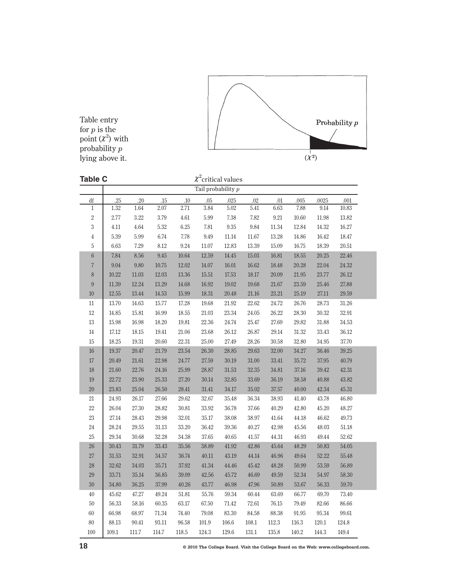

Table entry for *p* is the point  $(\chi^2)$  with probability *p* lying above it.

| <b>Table C</b>   |                    |           |           |                     |           | $\chi^2$ critical values |           |           |           |           |           |  |
|------------------|--------------------|-----------|-----------|---------------------|-----------|--------------------------|-----------|-----------|-----------|-----------|-----------|--|
|                  | Tail probability p |           |           |                     |           |                          |           |           |           |           |           |  |
| df               | .25                | .20       | .15       | .10                 | .05       | .025                     | .02       | .01       | .005      | .0025     | .001      |  |
| $\mathbf{1}$     | $1.32\,$           | $1.64\,$  | $2.07\,$  | $2.71\,$            | $3.84\,$  | $5.02\,$                 | 5.41      | 6.63      | 7.88      | 9.14      | 10.83     |  |
| $\sqrt{2}$       | $2.77\,$           | $3.22\,$  | $3.79\,$  | $4.61\,$            | 5.99      | 7.38                     | $7.82\,$  | $9.21\,$  | 10.60     | 11.98     | 13.82     |  |
| $\overline{3}$   | $4.11\,$           | 4.64      | 5.32      | 6.25                | 7.81      | $\rm 9.35$               | $\,9.84$  | 11.34     | 12.84     | 14.32     | 16.27     |  |
| $\overline{4}$   | 5.39               | 5.99      | 6.74      | $7.78\,$            | $\,9.49$  | $11.14\,$                | $11.67\,$ | 13.28     | 14.86     | 16.42     | 18.47     |  |
| $\bf 5$          | 6.63               | $7.29\,$  | $8.12\,$  | $\boldsymbol{9.24}$ | $11.07\,$ | 12.83                    | 13.39     | 15.09     | $16.75\,$ | 18.39     | 20.51     |  |
| $\boldsymbol{6}$ | 7.84               | $8.56\,$  | $9.45\,$  | $10.64\,$           | 12.59     | 14.45                    | $15.03\,$ | $16.81\,$ | $18.55\,$ | 20.25     | 22.46     |  |
| $\overline{7}$   | 9.04               | 9.80      | $10.75\,$ | 12.02               | 14.07     | $16.01\,$                | 16.62     | 18.48     | 20.28     | 22.04     | 24.32     |  |
| 8                | 10.22              | 11.03     | 12.03     | 13.36               | $15.51\,$ | 17.53                    | 18.17     | 20.09     | 21.95     | 23.77     | 26.12     |  |
| $\boldsymbol{9}$ | 11.39              | 12.24     | 13.29     | 14.68               | 16.92     | 19.02                    | 19.68     | 21.67     | 23.59     | 25.46     | 27.88     |  |
| 10               | 12.55              | 13.44     | 14.53     | 15.99               | 18.31     | $20.48\,$                | $21.16\,$ | 23.21     | 25.19     | 27.11     | 29.59     |  |
| 11               | 13.70              | 14.63     | 15.77     | 17.28               | 19.68     | 21.92                    | 22.62     | 24.72     | 26.76     | 28.73     | $31.26\,$ |  |
| $12\,$           | 14.85              | 15.81     | 16.99     | 18.55               | 21.03     | 23.34                    | $24.05\,$ | 26.22     | 28.30     | 30.32     | 32.91     |  |
| $13\,$           | $15.98\,$          | $16.98\,$ | 18.20     | 19.81               | 22.36     | $24.74\,$                | $25.47\,$ | 27.69     | 29.82     | $31.88\,$ | $34.53\,$ |  |
| $14\,$           | 17.12              | 18.15     | 19.41     | 21.06               | 23.68     | $26.12\,$                | $26.87\,$ | 29.14     | $31.32\,$ | 33.43     | 36.12     |  |
| 15               | 18.25              | 19.31     | 20.60     | $22.31\,$           | 25.00     | 27.49                    | 28.26     | 30.58     | 32.80     | 34.95     | 37.70     |  |
| $16\,$           | $19.37\,$          | $20.47\,$ | $21.79\,$ | 23.54               | 26.30     | $28.85\,$                | 29.63     | 32.00     | 34.27     | 36.46     | $39.25\,$ |  |
| $17\,$           | 20.49              | $21.61\,$ | 22.98     | 24.77               | 27.59     | $30.19\,$                | $31.00\,$ | 33.41     | 35.72     | $37.95\,$ | 40.79     |  |
| $18\,$           | 21.60              | 22.76     | $24.16\,$ | 25.99               | 28.87     | $31.53\,$                | 32.35     | 34.81     | 37.16     | 39.42     | 42.31     |  |
| 19               | 22.72              | 23.90     | 25.33     | 27.20               | 30.14     | 32.85                    | 33.69     | 36.19     | 38.58     | 40.88     | 43.82     |  |
| $20\,$           | 23.83              | 25.04     | 26.50     | 28.41               | 31.41     | $34.17\,$                | 35.02     | $37.57\,$ | 40.00     | 42.34     | 45.31     |  |
| $21\,$           | 24.93              | $26.17\,$ | 27.66     | 29.62               | $32.67\,$ | $35.48\,$                | 36.34     | 38.93     | 41.40     | 43.78     | 46.80     |  |
| 22               | 26.04              | 27.30     | 28.82     | $30.81\,$           | 33.92     | 36.78                    | 37.66     | 40.29     | 42.80     | 45.20     | 48.27     |  |
| $23\,$           | 27.14              | 28.43     | 29.98     | $32.01\,$           | 35.17     | 38.08                    | 38.97     | 41.64     | 44.18     | 46.62     | 49.73     |  |
| $24\,$           | 28.24              | $29.55\,$ | $31.13\,$ | 33.20               | $36.42\,$ | 39.36                    | 40.27     | 42.98     | 45.56     | 48.03     | 51.18     |  |
| 25               | 29.34              | 30.68     | 32.28     | 34.38               | 37.65     | 40.65                    | 41.57     | 44.31     | 46.93     | 49.44     | 52.62     |  |
| 26               | 30.43              | 31.79     | 33.43     | 35.56               | 38.89     | 41.92                    | 42.86     | 45.64     | 48.29     | 50.83     | 54.05     |  |
| 27               | $31.53\,$          | 32.91     | $34.57\,$ | 36.74               | 40.11     | 43.19                    | 44.14     | 46.96     | 49.64     | 52.22     | $55.48\,$ |  |
| 28               | 32.62              | 34.03     | 35.71     | 37.92               | 41.34     | 44.46                    | 45.42     | 48.28     | 50.99     | 53.59     | 56.89     |  |
| 29               | 33.71              | 35.14     | 36.85     | 39.09               | 42.56     | 45.72                    | 46.69     | 49.59     | 52.34     | $54.97\,$ | 58.30     |  |
| 30               | 34.80              | $36.25\,$ | 37.99     | 40.26               | 43.77     | 46.98                    | 47.96     | 50.89     | 53.67     | 56.33     | 59.70     |  |
| 40               | 45.62              | 47.27     | 49.24     | 51.81               | 55.76     | 59.34                    | 60.44     | 63.69     | 66.77     | 69.70     | 73.40     |  |
| 50               | 56.33              | 58.16     | 60.35     | 63.17               | 67.50     | $71.42\,$                | $72.61\,$ | 76.15     | 79.49     | 82.66     | 86.66     |  |
| $60\,$           | 66.98              | 68.97     | 71.34     | 74.40               | 79.08     | 83.30                    | 84.58     | 88.38     | 91.95     | 95.34     | $99.61\,$ |  |
| $80\,$           | 88.13              | 90.41     | 93.11     | 96.58               | 101.9     | 106.6                    | 108.1     | 112.3     | 116.3     | $120.1\,$ | 124.8     |  |
| 100              | $109.1\,$          | 111.7     | 114.7     | $118.5\,$           | 124.3     | 129.6                    | 131.1     | 135.8     | 140.2     | 144.3     | 149.4     |  |

**© 2010 The College Board. Visit the College Board on the Web: www.collegeboard.com.**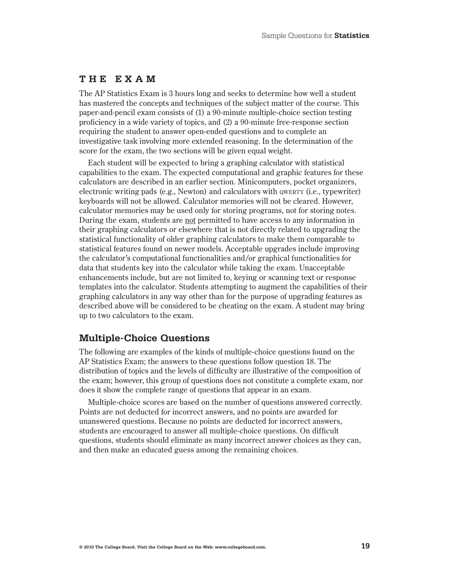## **T h e E x a m**

The AP Statistics Exam is 3 hours long and seeks to determine how well a student has mastered the concepts and techniques of the subject matter of the course. This paper-and-pencil exam consists of (1) a 90-minute multiple-choice section testing proficiency in a wide variety of topics, and (2) a 90-minute free-response section requiring the student to answer open-ended questions and to complete an investigative task involving more extended reasoning. In the determination of the score for the exam, the two sections will be given equal weight.

Each student will be expected to bring a graphing calculator with statistical capabilities to the exam. The expected computational and graphic features for these calculators are described in an earlier section. Minicomputers, pocket organizers, electronic writing pads (e.g., Newton) and calculators with *qwere* (i.e., typewriter) keyboards will not be allowed. Calculator memories will not be cleared. However, calculator memories may be used only for storing programs, not for storing notes. During the exam, students are not permitted to have access to any information in their graphing calculators or elsewhere that is not directly related to upgrading the statistical functionality of older graphing calculators to make them comparable to statistical features found on newer models. Acceptable upgrades include improving the calculator's computational functionalities and/or graphical functionalities for data that students key into the calculator while taking the exam. Unacceptable enhancements include, but are not limited to, keying or scanning text or response templates into the calculator. Students attempting to augment the capabilities of their graphing calculators in any way other than for the purpose of upgrading features as described above will be considered to be cheating on the exam. A student may bring up to two calculators to the exam.

# **Multiple-Choice Questions**

The following are examples of the kinds of multiple-choice questions found on the AP Statistics Exam; the answers to these questions follow question 18. The distribution of topics and the levels of difficulty are illustrative of the composition of the exam; however, this group of questions does not constitute a complete exam, nor does it show the complete range of questions that appear in an exam.

Multiple-choice scores are based on the number of questions answered correctly. Points are not deducted for incorrect answers, and no points are awarded for unanswered questions. Because no points are deducted for incorrect answers, students are encouraged to answer all multiple-choice questions. On difficult questions, students should eliminate as many incorrect answer choices as they can, and then make an educated guess among the remaining choices.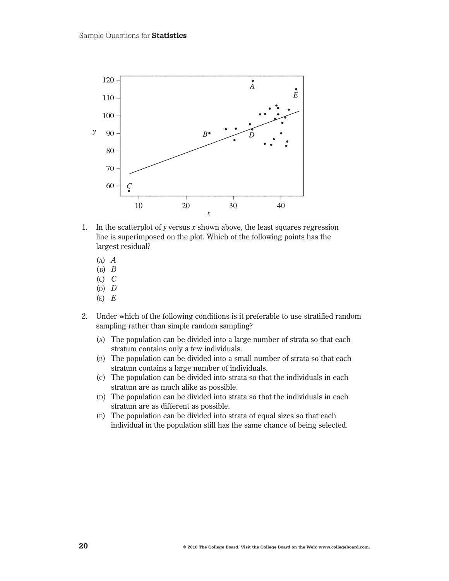

- 1. In the scatterplot of *y* versus  $x$  shown above, the least squares regression line is superimposed on the plot. Which of the following points has the largest residual?
	- (a) *A*
	- (b) *B*
	- (c) *C*
	- (d) *D*
	- (e) *E*
- 2. Under which of the following conditions is it preferable to use stratified random sampling rather than simple random sampling?
	- (a) The population can be divided into a large number of strata so that each stratum contains only a few individuals.
	- (b) The population can be divided into a small number of strata so that each stratum contains a large number of individuals.
	- (c) The population can be divided into strata so that the individuals in each stratum are as much alike as possible.
	- (b) The population can be divided into strata so that the individuals in each stratum are as different as possible.
	- (e) The population can be divided into strata of equal sizes so that each individual in the population still has the same chance of being selected.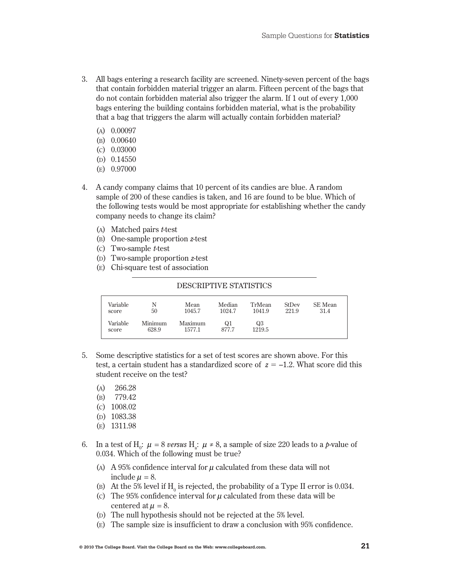- 3. All bags entering a research facility are screened. Ninety-seven percent of the bags that contain forbidden material trigger an alarm. Fifteen percent of the bags that do not contain forbidden material also trigger the alarm. If 1 out of every 1,000 bags entering the building contains forbidden material, what is the probability that a bag that triggers the alarm will actually contain forbidden material?
	- (a) 0.00097
	- (b) 0.00640
	- (c) 0.03000
	- $(D)$  0.14550
	- (e) 0.97000
- 4. A candy company claims that 10 percent of its candies are blue. A random sample of 200 of these candies is taken, and 16 are found to be blue. Which of the following tests would be most appropriate for establishing whether the candy company needs to change its claim?
	- (a) Matched pairs *t*-test
	- (b) One-sample proportion *z*-test
	- (c) Two-sample *t*-test
	- (d) Two-sample proportion *z*-test
	- (e) Chi-square test of association

|                   |                  | DESUNIT HYL STAHSHUS |                  |                  |                       |                 |
|-------------------|------------------|----------------------|------------------|------------------|-----------------------|-----------------|
| Variable<br>score | N<br>50          | Mean<br>1045.7       | Median<br>1024.7 | TrMean<br>1041.9 | <b>StDev</b><br>221.9 | SE Mean<br>31.4 |
| Variable<br>score | Minimum<br>628.9 | Maximum<br>1577.1    | ω1<br>877.7      | Q3<br>1219.5     |                       |                 |

DESCRIPTIVE STATISTICS

- 5. Some descriptive statistics for a set of test scores are shown above. For this test, a certain student has a standardized score of  $z = -1.2$ . What score did this student receive on the test?
	- (a) 266.28
	- (b) 779.42
	- (c) 1008.02
	- $(D)$  1083.38
	- (e) 1311.98
- 6. In a test of H<sub>0</sub>:  $\mu = 8$  *versus* H<sub>a</sub>:  $\mu \neq 8$ , a sample of size 220 leads to a *p*-value of 0.034. Which of the following must be true?
	- (A) A 95% confidence interval for  $\mu$  calculated from these data will not include  $\mu = 8$ .
	- (B) At the 5% level if  $H_0$  is rejected, the probability of a Type II error is 0.034.
	- (c) The 95% confidence interval for  $\mu$  calculated from these data will be centered at  $\mu = 8$ .
	- $\Delta$  The null hypothesis should not be rejected at the 5% level.
	- (e) The sample size is insufficient to draw a conclusion with 95% confidence.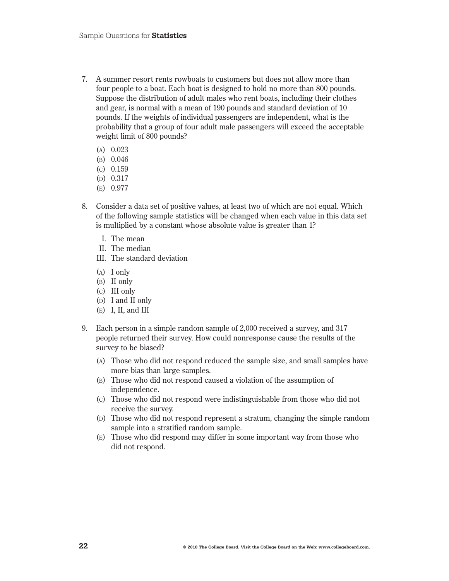- 7. A summer resort rents rowboats to customers but does not allow more than four people to a boat. Each boat is designed to hold no more than 800 pounds. Suppose the distribution of adult males who rent boats, including their clothes and gear, is normal with a mean of 190 pounds and standard deviation of 10 pounds. If the weights of individual passengers are independent, what is the probability that a group of four adult male passengers will exceed the acceptable weight limit of 800 pounds?
	- (a) 0.023
	- (b) 0.046
	- (c) 0.159
	- $(D)$  0.317
	- (e) 0.977
- 8. Consider a data set of positive values, at least two of which are not equal. Which of the following sample statistics will be changed when each value in this data set is multiplied by a constant whose absolute value is greater than 1?
	- I. The mean
	- II. The median
	- III. The standard deviation
	- (a) I only
	- (b) II only
	- (c) III only
	- $(D)$  I and II only
	- (e) I, II, and III
- 9. Each person in a simple random sample of 2,000 received a survey, and 317 people returned their survey. How could nonresponse cause the results of the survey to be biased?
	- (a) Those who did not respond reduced the sample size, and small samples have more bias than large samples.
	- (b) Those who did not respond caused a violation of the assumption of independence.
	- (c) Those who did not respond were indistinguishable from those who did not receive the survey.
	- $\alpha$ ) Those who did not respond represent a stratum, changing the simple random sample into a stratified random sample.
	- (e) Those who did respond may differ in some important way from those who did not respond.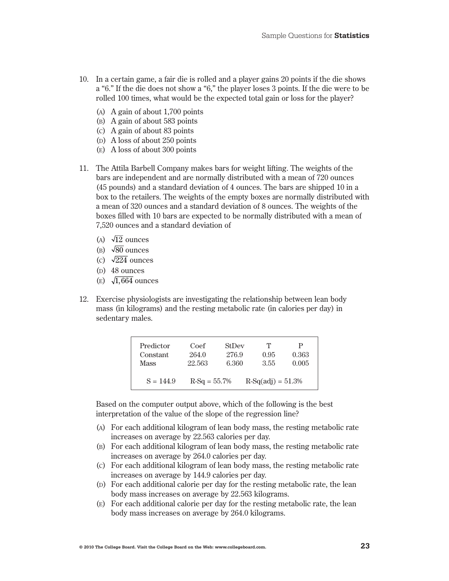- 10. In a certain game, a fair die is rolled and a player gains 20 points if the die shows a "6." If the die does not show a "6," the player loses 3 points. If the die were to be rolled 100 times, what would be the expected total gain or loss for the player?
	- (a) A gain of about 1,700 points
	- (b) A gain of about 583 points
	- (c) A gain of about 83 points
	- (b) A loss of about 250 points
	- (e) A loss of about 300 points
- 11. The Attila Barbell Company makes bars for weight lifting. The weights of the bars are independent and are normally distributed with a mean of 720 ounces (45 pounds) and a standard deviation of 4 ounces. The bars are shipped 10 in a box to the retailers. The weights of the empty boxes are normally distributed with a mean of 320 ounces and a standard deviation of 8 ounces. The weights of the boxes filled with 10 bars are expected to be normally distributed with a mean of 7,520 ounces and a standard deviation of
	- (A)  $\sqrt{12}$  ounces
	- (b)  $\sqrt{80}$  ounces
	- (c)  $\sqrt{224}$  ounces
	- $(b)$  48 ounces
	- (E)  $\sqrt{1.664}$  ounces
- 12. Exercise physiologists are investigating the relationship between lean body mass (in kilograms) and the resting metabolic rate (in calories per day) in sedentary males.

| Predictor   | Coef           | <b>StDev</b> | т                   | P     |
|-------------|----------------|--------------|---------------------|-------|
| Constant    | 264.0          | 276.9        | 0.95                | 0.363 |
| <b>Mass</b> | 22.563         | 6.360        | 3.55                | 0.005 |
| $S = 144.9$ | $R-Sq = 55.7%$ |              | $R-Sq(adj) = 51.3%$ |       |

 Based on the computer output above, which of the following is the best interpretation of the value of the slope of the regression line?

- (a) For each additional kilogram of lean body mass, the resting metabolic rate increases on average by 22.563 calories per day.
- (b) For each additional kilogram of lean body mass, the resting metabolic rate increases on average by 264.0 calories per day.
- (c) For each additional kilogram of lean body mass, the resting metabolic rate increases on average by 144.9 calories per day.
- (d) For each additional calorie per day for the resting metabolic rate, the lean body mass increases on average by 22.563 kilograms.
- (e) For each additional calorie per day for the resting metabolic rate, the lean body mass increases on average by 264.0 kilograms.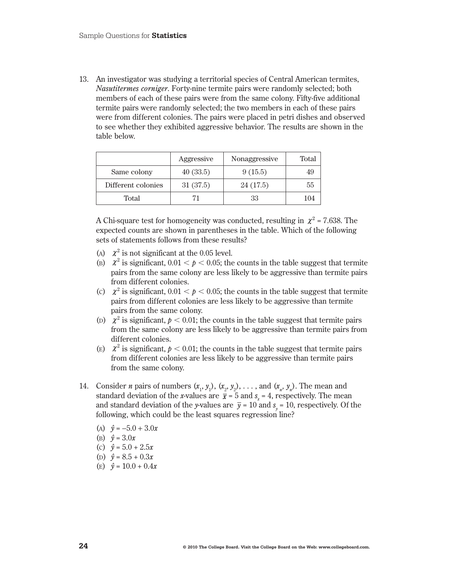13. An investigator was studying a territorial species of Central American termites, *Nasutitermes corniger*. Forty-nine termite pairs were randomly selected; both members of each of these pairs were from the same colony. Fifty-five additional termite pairs were randomly selected; the two members in each of these pairs were from different colonies. The pairs were placed in petri dishes and observed to see whether they exhibited aggressive behavior. The results are shown in the table below.

|                    | Aggressive | Nonaggressive | Total |
|--------------------|------------|---------------|-------|
| Same colony        | 40(33.5)   | 9(15.5)       | 49    |
| Different colonies | 31(37.5)   | 24 (17.5)     | 55    |
| Total              |            | 33            | 104   |

A Chi-square test for homogeneity was conducted, resulting in  $\chi^2$  = 7.638. The expected counts are shown in parentheses in the table. Which of the following sets of statements follows from these results?

- (A)  $\chi^2$  is not significant at the 0.05 level.
- (b)  $\chi^2$  is significant,  $0.01 < p < 0.05$ ; the counts in the table suggest that termite pairs from the same colony are less likely to be aggressive than termite pairs from different colonies.
- (c)  $\chi^2$  is significant,  $0.01 < p < 0.05$ ; the counts in the table suggest that termite pairs from different colonies are less likely to be aggressive than termite pairs from the same colony.
- (b)  $\chi^2$  is significant,  $p < 0.01$ ; the counts in the table suggest that termite pairs from the same colony are less likely to be aggressive than termite pairs from different colonies.
- (E)  $\chi^2$  is significant,  $p < 0.01$ ; the counts in the table suggest that termite pairs from different colonies are less likely to be aggressive than termite pairs from the same colony.
- 14. Consider *n* pairs of numbers  $(x_1, y_1)$ ,  $(x_2, y_2)$ , ..., and  $(x_n, y_n)$ . The mean and standard deviation of the *x*-values are  $\bar{x}$  = 5 and  $s_x$  = 4, respectively. The mean and standard deviation of the *y*-values are  $\bar{y}$  = 10 and  $s_y$  = 10, respectively. Of the following, which could be the least squares regression line?
	- (A)  $\hat{y} = -5.0 + 3.0x$
	- (a)  $\hat{y} = 3.0x$
	- (c)  $\hat{v} = 5.0 + 2.5x$
	- (b)  $\hat{y} = 8.5 + 0.3x$
	- $(k)$   $\hat{v} = 10.0 + 0.4x$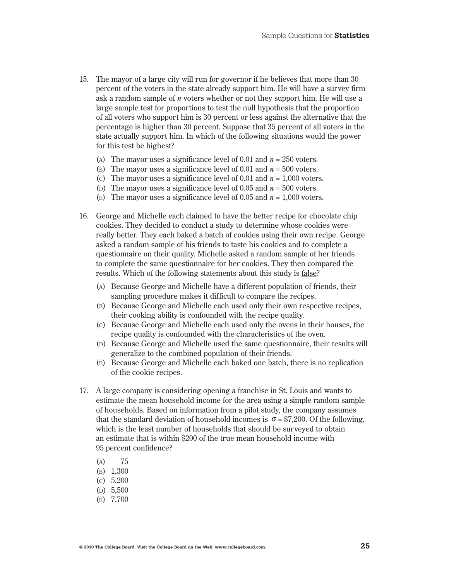- 15. The mayor of a large city will run for governor if he believes that more than 30 percent of the voters in the state already support him. He will have a survey firm ask a random sample of *n* voters whether or not they support him. He will use a large sample test for proportions to test the null hypothesis that the proportion of all voters who support him is 30 percent or less against the alternative that the percentage is higher than 30 percent. Suppose that 35 percent of all voters in the state actually support him. In which of the following situations would the power for this test be highest?
	- (a) The mayor uses a significance level of 0.01 and *n* = 250 voters.
	- (b) The mayor uses a significance level of 0.01 and *n* = 500 voters.
	- (c) The mayor uses a significance level of 0.01 and *n* = 1,000 voters.
	- (b) The mayor uses a significance level of 0.05 and  $n = 500$  voters.
	- (e) The mayor uses a significance level of 0.05 and *n* = 1,000 voters.
- 16. George and Michelle each claimed to have the better recipe for chocolate chip cookies. They decided to conduct a study to determine whose cookies were really better. They each baked a batch of cookies using their own recipe. George asked a random sample of his friends to taste his cookies and to complete a questionnaire on their quality. Michelle asked a random sample of her friends to complete the same questionnaire for her cookies. They then compared the results. Which of the following statements about this study is false?
	- (a) Because George and Michelle have a different population of friends, their sampling procedure makes it difficult to compare the recipes.
	- (b) Because George and Michelle each used only their own respective recipes, their cooking ability is confounded with the recipe quality.
	- (c) Because George and Michelle each used only the ovens in their houses, the recipe quality is confounded with the characteristics of the oven.
	- (d) Because George and Michelle used the same questionnaire, their results will generalize to the combined population of their friends.
	- (e) Because George and Michelle each baked one batch, there is no replication of the cookie recipes.
- 17. A large company is considering opening a franchise in St. Louis and wants to estimate the mean household income for the area using a simple random sample of households. Based on information from a pilot study, the company assumes that the standard deviation of household incomes is  $\sigma = \frac{1}{2}7,200$ . Of the following, which is the least number of households that should be surveyed to obtain an estimate that is within \$200 of the true mean household income with 95 percent confidence?
	- $(A)$  75
	- (b) 1,300
	- (c) 5,200
	- $(D)$  5,500
	- (e) 7,700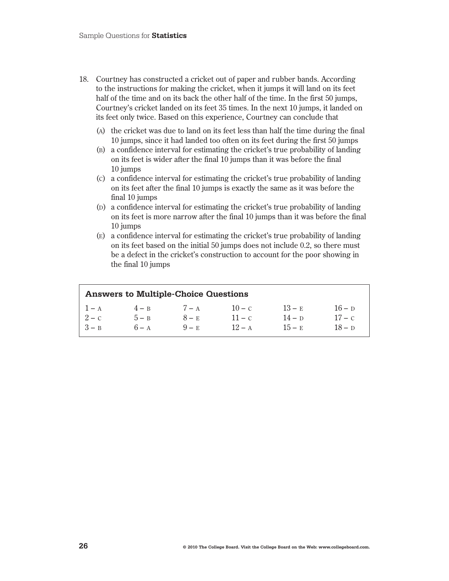- 18. Courtney has constructed a cricket out of paper and rubber bands. According to the instructions for making the cricket, when it jumps it will land on its feet half of the time and on its back the other half of the time. In the first 50 jumps, Courtney's cricket landed on its feet 35 times. In the next 10 jumps, it landed on its feet only twice. Based on this experience, Courtney can conclude that
	- (a) the cricket was due to land on its feet less than half the time during the final 10 jumps, since it had landed too often on its feet during the first 50 jumps
	- (b) a confidence interval for estimating the cricket's true probability of landing on its feet is wider after the final 10 jumps than it was before the final 10 jumps
	- (c) a confidence interval for estimating the cricket's true probability of landing on its feet after the final 10 jumps is exactly the same as it was before the final 10 jumps
	- $\alpha$ ) a confidence interval for estimating the cricket's true probability of landing on its feet is more narrow after the final 10 jumps than it was before the final 10 jumps
	- (e) a confidence interval for estimating the cricket's true probability of landing on its feet based on the initial 50 jumps does not include 0.2, so there must be a defect in the cricket's construction to account for the poor showing in the final 10 jumps

| <b>Answers to Multiple-Choice Questions</b> |         |         |          |          |          |  |  |  |
|---------------------------------------------|---------|---------|----------|----------|----------|--|--|--|
| $1 - A$                                     | $4 - R$ | $7 - A$ | $10 - C$ | $13 - E$ | $16 - p$ |  |  |  |
| $2 - c$                                     | $5 - B$ | $8 - E$ | $11 - c$ | $14 - p$ | $17 - c$ |  |  |  |
| $3 - B$                                     | $6 - A$ | $9 - E$ | $12 - A$ | $15 - E$ | $18 - p$ |  |  |  |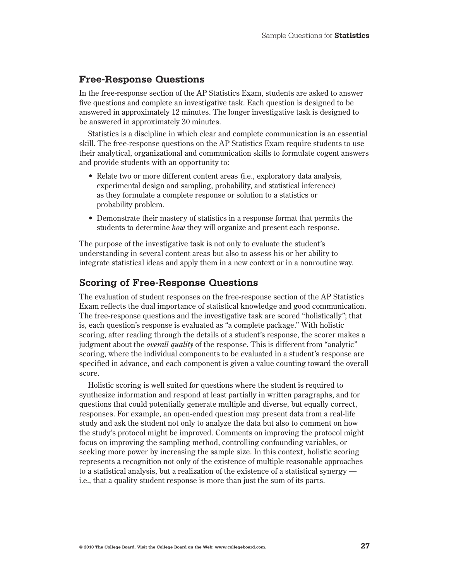# **Free-Response Questions**

In the free-response section of the AP Statistics Exam, students are asked to answer five questions and complete an investigative task. Each question is designed to be answered in approximately 12 minutes. The longer investigative task is designed to be answered in approximately 30 minutes.

Statistics is a discipline in which clear and complete communication is an essential skill. The free-response questions on the AP Statistics Exam require students to use their analytical, organizational and communication skills to formulate cogent answers and provide students with an opportunity to:

- Relate two or more different content areas (i.e., exploratory data analysis, experimental design and sampling, probability, and statistical inference) as they formulate a complete response or solution to a statistics or probability problem.
- Demonstrate their mastery of statistics in a response format that permits the students to determine *how* they will organize and present each response.

The purpose of the investigative task is not only to evaluate the student's understanding in several content areas but also to assess his or her ability to integrate statistical ideas and apply them in a new context or in a nonroutine way.

# **Scoring of Free-Response Questions**

The evaluation of student responses on the free-response section of the AP Statistics Exam reflects the dual importance of statistical knowledge and good communication. The free-response questions and the investigative task are scored "holistically"; that is, each question's response is evaluated as "a complete package." With holistic scoring, after reading through the details of a student's response, the scorer makes a judgment about the *overall quality* of the response. This is different from "analytic" scoring, where the individual components to be evaluated in a student's response are specified in advance, and each component is given a value counting toward the overall score.

Holistic scoring is well suited for questions where the student is required to synthesize information and respond at least partially in written paragraphs, and for questions that could potentially generate multiple and diverse, but equally correct, responses. For example, an open-ended question may present data from a real-life study and ask the student not only to analyze the data but also to comment on how the study's protocol might be improved. Comments on improving the protocol might focus on improving the sampling method, controlling confounding variables, or seeking more power by increasing the sample size. In this context, holistic scoring represents a recognition not only of the existence of multiple reasonable approaches to a statistical analysis, but a realization of the existence of a statistical synergy i.e., that a quality student response is more than just the sum of its parts.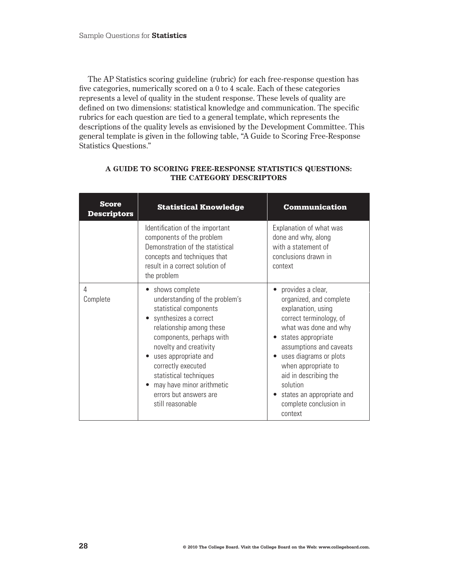The AP Statistics scoring guideline (rubric) for each free-response question has five categories, numerically scored on a 0 to 4 scale. Each of these categories represents a level of quality in the student response. These levels of quality are defined on two dimensions: statistical knowledge and communication. The specific rubrics for each question are tied to a general template, which represents the descriptions of the quality levels as envisioned by the Development Committee. This general template is given in the following table, "A Guide to Scoring Free-Response Statistics Questions."

| <b>Score</b><br><b>Descriptors</b> | <b>Statistical Knowledge</b>                                                                                                                                                                                                                                                                                                                 | <b>Communication</b>                                                                                                                                                                                                                                                                                                                           |
|------------------------------------|----------------------------------------------------------------------------------------------------------------------------------------------------------------------------------------------------------------------------------------------------------------------------------------------------------------------------------------------|------------------------------------------------------------------------------------------------------------------------------------------------------------------------------------------------------------------------------------------------------------------------------------------------------------------------------------------------|
|                                    | Identification of the important<br>components of the problem<br>Demonstration of the statistical<br>concepts and techniques that<br>result in a correct solution of<br>the problem                                                                                                                                                           | Explanation of what was<br>done and why, along<br>with a statement of<br>conclusions drawn in<br>context                                                                                                                                                                                                                                       |
| 4<br>Complete                      | • shows complete<br>understanding of the problem's<br>statistical components<br>• synthesizes a correct<br>relationship among these<br>components, perhaps with<br>novelty and creativity<br>uses appropriate and<br>correctly executed<br>statistical techniques<br>may have minor arithmetic<br>errors but answers are<br>still reasonable | • provides a clear,<br>organized, and complete<br>explanation, using<br>correct terminology, of<br>what was done and why<br>states appropriate<br>$\bullet$<br>assumptions and caveats<br>uses diagrams or plots<br>when appropriate to<br>aid in describing the<br>solution<br>states an appropriate and<br>complete conclusion in<br>context |

## **A GUIDE TO SCORING FREE-RESPONSE STATISTICS QUESTIONS: THE CATEGORY DESCRIPTORS**

İ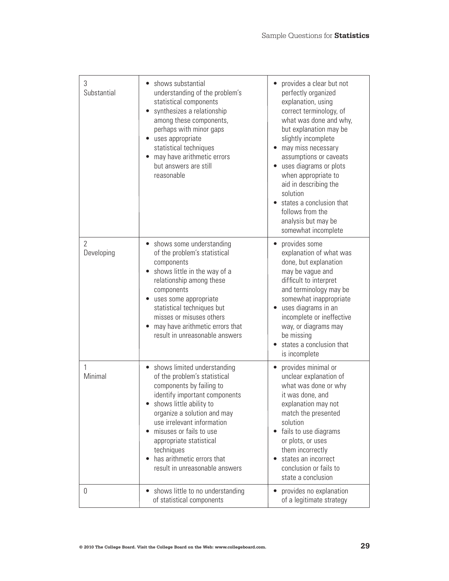| 3<br>Substantial | shows substantial<br>understanding of the problem's<br>statistical components<br>synthesizes a relationship<br>among these components,<br>perhaps with minor gaps<br>uses appropriate<br>statistical techniques<br>may have arithmetic errors<br>but answers are still<br>reasonable                                                                 | provides a clear but not<br>perfectly organized<br>explanation, using<br>correct terminology, of<br>what was done and why,<br>but explanation may be<br>slightly incomplete<br>may miss necessary<br>$\bullet$<br>assumptions or caveats<br>uses diagrams or plots<br>$\bullet$<br>when appropriate to<br>aid in describing the<br>solution<br>states a conclusion that<br>$\bullet$<br>follows from the<br>analysis but may be<br>somewhat incomplete |
|------------------|------------------------------------------------------------------------------------------------------------------------------------------------------------------------------------------------------------------------------------------------------------------------------------------------------------------------------------------------------|--------------------------------------------------------------------------------------------------------------------------------------------------------------------------------------------------------------------------------------------------------------------------------------------------------------------------------------------------------------------------------------------------------------------------------------------------------|
| 2<br>Developing  | shows some understanding<br>of the problem's statistical<br>components<br>shows little in the way of a<br>relationship among these<br>components<br>uses some appropriate<br>statistical techniques but<br>misses or misuses others<br>may have arithmetic errors that<br>result in unreasonable answers                                             | provides some<br>$\bullet$<br>explanation of what was<br>done, but explanation<br>may be vague and<br>difficult to interpret<br>and terminology may be<br>somewhat inappropriate<br>uses diagrams in an<br>$\bullet$<br>incomplete or ineffective<br>way, or diagrams may<br>be missing<br>states a conclusion that<br>is incomplete                                                                                                                   |
| Minimal          | shows limited understanding<br>of the problem's statistical<br>components by failing to<br>identify important components<br>shows little ability to<br>organize a solution and may<br>use irrelevant information<br>misuses or fails to use<br>appropriate statistical<br>techniques<br>has arithmetic errors that<br>result in unreasonable answers | provides minimal or<br>unclear explanation of<br>what was done or why<br>it was done, and<br>explanation may not<br>match the presented<br>solution<br>fails to use diagrams<br>$\bullet$<br>or plots, or uses<br>them incorrectly<br>states an incorrect<br>conclusion or fails to<br>state a conclusion                                                                                                                                              |
| 0                | shows little to no understanding<br>of statistical components                                                                                                                                                                                                                                                                                        | provides no explanation<br>of a legitimate strategy                                                                                                                                                                                                                                                                                                                                                                                                    |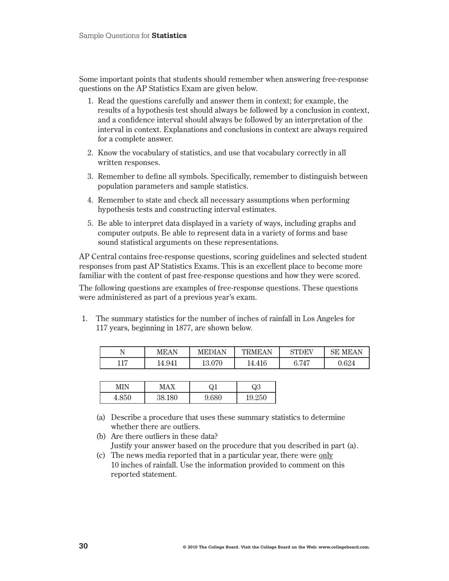Some important points that students should remember when answering free-response questions on the AP Statistics Exam are given below.

- 1. Read the questions carefully and answer them in context; for example, the results of a hypothesis test should always be followed by a conclusion in context, and a confidence interval should always be followed by an interpretation of the interval in context. Explanations and conclusions in context are always required for a complete answer.
- 2. Know the vocabulary of statistics, and use that vocabulary correctly in all written responses.
- 3. Remember to define all symbols. Specifically, remember to distinguish between population parameters and sample statistics.
- 4. Remember to state and check all necessary assumptions when performing hypothesis tests and constructing interval estimates.
- 5. Be able to interpret data displayed in a variety of ways, including graphs and computer outputs. Be able to represent data in a variety of forms and base sound statistical arguments on these representations.

AP Central contains free-response questions, scoring guidelines and selected student responses from past AP Statistics Exams. This is an excellent place to become more familiar with the content of past free-response questions and how they were scored.

The following questions are examples of free-response questions. These questions were administered as part of a previous year's exam.

1. The summary statistics for the number of inches of rainfall in Los Angeles for 117 years, beginning in 1877, are shown below.

| ٦T       | <b>MEAN</b> | <b>DIAN</b><br>MET   | <b>TRME A N</b> | .TDEV | <b>MEAN</b> |
|----------|-------------|----------------------|-----------------|-------|-------------|
| 117<br>. | 14.941      | $\Delta E$<br>10.VIV | 4               | 6.747 | າ ເວາ       |

|       | $\Delta$          | ೧' | $\sqrt{3}$         |
|-------|-------------------|----|--------------------|
| ェ・ししり | $\Omega$<br>0.100 |    | $E \cap$<br>10.400 |

- (a) Describe a procedure that uses these summary statistics to determine whether there are outliers.
- (b) Are there outliers in these data? Justify your answer based on the procedure that you described in part (a).
- (c) The news media reported that in a particular year, there were only 10 inches of rainfall. Use the information provided to comment on this reported statement.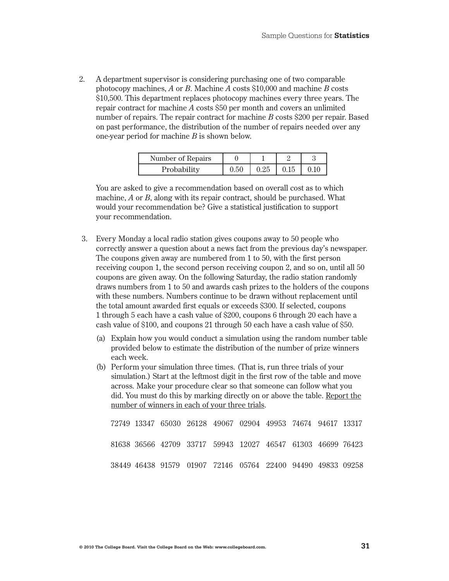2. A department supervisor is considering purchasing one of two comparable photocopy machines, *A* or *B*. Machine *A* costs \$10,000 and machine *B* costs \$10,500. This department replaces photocopy machines every three years. The repair contract for machine *A* costs \$50 per month and covers an unlimited number of repairs. The repair contract for machine *B* costs \$200 per repair. Based on past performance, the distribution of the number of repairs needed over any one-year period for machine *B* is shown below.

| Number of Repairs |  |  |
|-------------------|--|--|
| Probability       |  |  |

 You are asked to give a recommendation based on overall cost as to which machine, *A* or *B*, along with its repair contract, should be purchased. What would your recommendation be? Give a statistical justification to support your recommendation.

- 3. Every Monday a local radio station gives coupons away to 50 people who correctly answer a question about a news fact from the previous day's newspaper. The coupons given away are numbered from 1 to 50, with the first person receiving coupon 1, the second person receiving coupon 2, and so on, until all 50 coupons are given away. On the following Saturday, the radio station randomly draws numbers from 1 to 50 and awards cash prizes to the holders of the coupons with these numbers. Numbers continue to be drawn without replacement until the total amount awarded first equals or exceeds \$300. If selected, coupons 1 through 5 each have a cash value of \$200, coupons 6 through 20 each have a cash value of \$100, and coupons 21 through 50 each have a cash value of \$50.
	- (a) Explain how you would conduct a simulation using the random number table provided below to estimate the distribution of the number of prize winners each week.
	- (b) Perform your simulation three times. (That is, run three trials of your simulation.) Start at the leftmost digit in the first row of the table and move across. Make your procedure clear so that someone can follow what you did. You must do this by marking directly on or above the table. Report the number of winners in each of your three trials.

|  |  | 72749 13347 65030 26128 49067 02904 49953 74674 94617 13317 |  |  |
|--|--|-------------------------------------------------------------|--|--|
|  |  | 81638 36566 42709 33717 59943 12027 46547 61303 46699 76423 |  |  |
|  |  | 38449 46438 91579 01907 72146 05764 22400 94490 49833 09258 |  |  |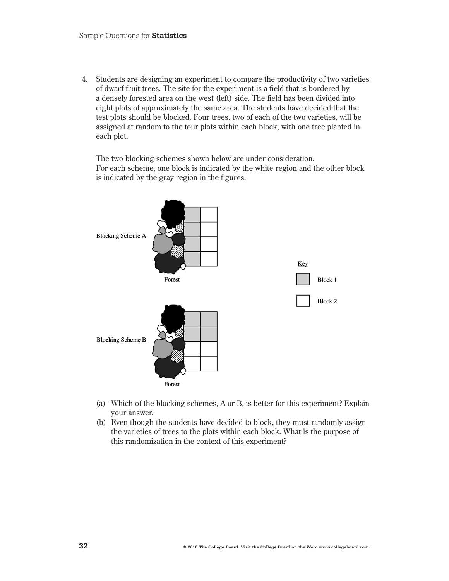4. Students are designing an experiment to compare the productivity of two varieties of dwarf fruit trees. The site for the experiment is a field that is bordered by a densely forested area on the west (left) side. The field has been divided into eight plots of approximately the same area. The students have decided that the test plots should be blocked. Four trees, two of each of the two varieties, will be assigned at random to the four plots within each block, with one tree planted in each plot.

 The two blocking schemes shown below are under consideration. For each scheme, one block is indicated by the white region and the other block is indicated by the gray region in the figures.



- (a) Which of the blocking schemes, A or B, is better for this experiment? Explain your answer.
- (b) Even though the students have decided to block, they must randomly assign the varieties of trees to the plots within each block. What is the purpose of this randomization in the context of this experiment?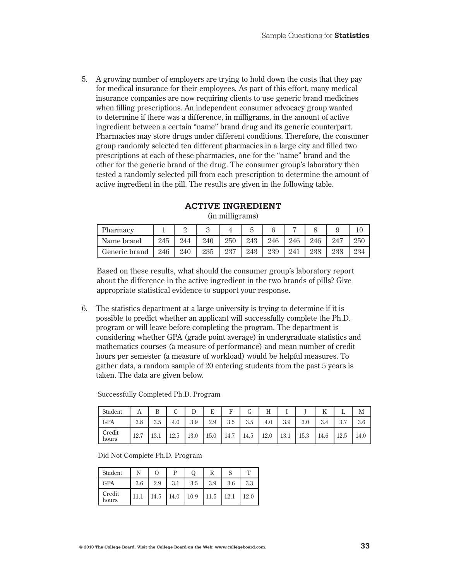5. A growing number of employers are trying to hold down the costs that they pay for medical insurance for their employees. As part of this effort, many medical insurance companies are now requiring clients to use generic brand medicines when filling prescriptions. An independent consumer advocacy group wanted to determine if there was a difference, in milligrams, in the amount of active ingredient between a certain "name" brand drug and its generic counterpart. Pharmacies may store drugs under different conditions. Therefore, the consumer group randomly selected ten different pharmacies in a large city and filled two prescriptions at each of these pharmacies, one for the "name" brand and the other for the generic brand of the drug. The consumer group's laboratory then tested a randomly selected pill from each prescription to determine the amount of active ingredient in the pill. The results are given in the following table.

# **ACTIVE INGREDIENT**

(in milligrams)

| Pharmacy      |     |     |     |     |     |     |     |     |     |         |
|---------------|-----|-----|-----|-----|-----|-----|-----|-----|-----|---------|
| Name brand    | 245 | 244 | 240 | 250 | 243 | 246 | 246 | 246 | 247 | $250\,$ |
| Generic brand | 246 | 240 | 235 | 237 | 243 | 239 | 241 | 238 | 238 | 234     |

Based on these results, what should the consumer group's laboratory report about the difference in the active ingredient in the two brands of pills? Give appropriate statistical evidence to support your response.

6. The statistics department at a large university is trying to determine if it is possible to predict whether an applicant will successfully complete the Ph.D. program or will leave before completing the program. The department is considering whether GPA (grade point average) in undergraduate statistics and mathematics courses (a measure of performance) and mean number of credit hours per semester (a measure of workload) would be helpful measures. To gather data, a random sample of 20 entering students from the past 5 years is taken. The data are given below.

| Student         |      | $\mathbf{D}$ | $\curvearrowright$ |      | E    | E    | $\sqrt{2}$<br>١T | Η    |      |      | T    |                             | M    |
|-----------------|------|--------------|--------------------|------|------|------|------------------|------|------|------|------|-----------------------------|------|
| GPA             | 3.8  | つに<br>ə.ə    | 4.0                | 3.9  | 2.9  | 3.5  | 3.5              | 4.0  | 3.9  | 3.0  | 3.4  | 0.7<br>$\upsilon$ . $\iota$ | 3.6  |
| Credit<br>hours | 12.7 | 13.1         | 12.5               | 13.0 | 15.0 | 14.7 | 14.5             | 12.0 | 13.1 | 15.3 | 14.6 | 12.5                        | 14.0 |

Successfully Completed Ph.D. Program

Did Not Complete Ph.D. Program

| Student         | N   |      |      | Q    | R    |      | $\tau$ |
|-----------------|-----|------|------|------|------|------|--------|
| GPA             | 3.6 | 2.9  | 3.1  | 3.5  | 3.9  | 3.6  | 3.3    |
| Credit<br>hours |     | 14.5 | 14.0 | 10.9 | 11.5 | 12.1 | 12.0   |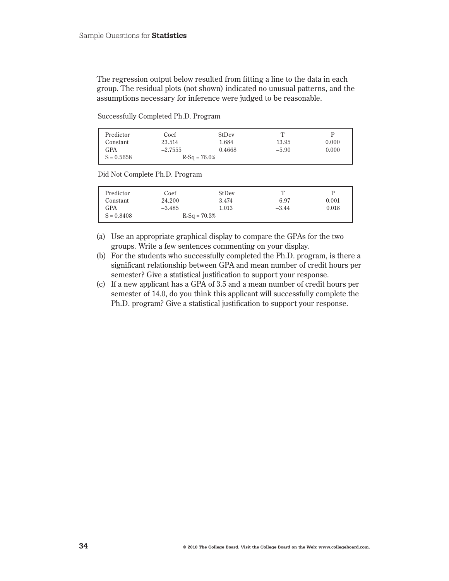The regression output below resulted from fitting a line to the data in each group. The residual plots (not shown) indicated no unusual patterns, and the assumptions necessary for inference were judged to be reasonable.

Successfully Completed Ph.D. Program

| Predictor    | Coef           | <b>StDev</b> | T       |       |
|--------------|----------------|--------------|---------|-------|
| Constant     | 23.514         | 1.684        | 13.95   | 0.000 |
| GPA          | $-2.7555$      | 0.4668       | $-5.90$ | 0.000 |
| $S = 0.5658$ | $R-Sq = 76.0%$ |              |         |       |

Did Not Complete Ph.D. Program

| Predictor    | Coef     | StDev          | $\tau$  |       |
|--------------|----------|----------------|---------|-------|
| Constant     | 24.200   | 3.474          | 6.97    | 0.001 |
| <b>GPA</b>   | $-3.485$ | 1.013          | $-3.44$ | 0.018 |
| $S = 0.8408$ |          | $R-Sq = 70.3%$ |         |       |

- (a) Use an appropriate graphical display to compare the GPAs for the two groups. Write a few sentences commenting on your display.
- (b) For the students who successfully completed the Ph.D. program, is there a significant relationship between GPA and mean number of credit hours per semester? Give a statistical justification to support your response.
- (c) If a new applicant has a GPA of 3.5 and a mean number of credit hours per semester of 14.0, do you think this applicant will successfully complete the Ph.D. program? Give a statistical justification to support your response.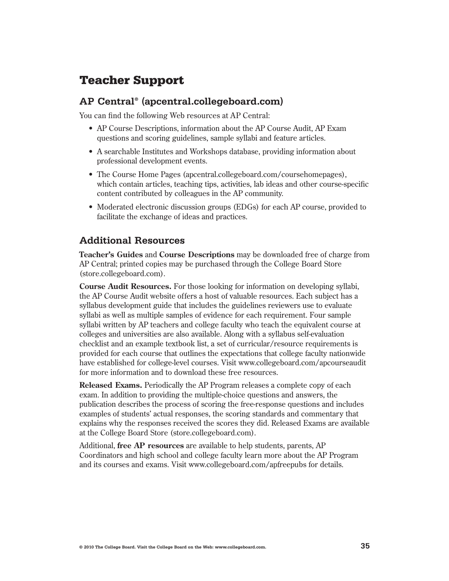# Teacher Support

# **AP Central® (apcentral.collegeboard.com)**

You can find the following Web resources at AP Central:

- AP Course Descriptions, information about the AP Course Audit, AP Exam questions and scoring guidelines, sample syllabi and feature articles.
- A searchable Institutes and Workshops database, providing information about professional development events.
- The Course Home Pages (apcentral.collegeboard.com/coursehomepages), which contain articles, teaching tips, activities, lab ideas and other course-specific content contributed by colleagues in the AP community.
- Moderated electronic discussion groups (EDGs) for each AP course, provided to facilitate the exchange of ideas and practices.

# **Additional Resources**

**Teacher's Guides** and **Course Descriptions** may be downloaded free of charge from AP Central; printed copies may be purchased through the College Board Store (store.collegeboard.com).

**Course Audit Resources.** For those looking for information on developing syllabi, the AP Course Audit website offers a host of valuable resources. Each subject has a syllabus development guide that includes the guidelines reviewers use to evaluate syllabi as well as multiple samples of evidence for each requirement. Four sample syllabi written by AP teachers and college faculty who teach the equivalent course at colleges and universities are also available. Along with a syllabus self-evaluation checklist and an example textbook list, a set of curricular/resource requirements is provided for each course that outlines the expectations that college faculty nationwide have established for college-level courses. Visit www.collegeboard.com/apcourseaudit for more information and to download these free resources.

**Released Exams.** Periodically the AP Program releases a complete copy of each exam. In addition to providing the multiple-choice questions and answers, the publication describes the process of scoring the free-response questions and includes examples of students' actual responses, the scoring standards and commentary that explains why the responses received the scores they did. Released Exams are available at the College Board Store (store.collegeboard.com).

Additional, **free AP resources** are available to help students, parents, AP Coordinators and high school and college faculty learn more about the AP Program and its courses and exams. Visit www.collegeboard.com/apfreepubs for details.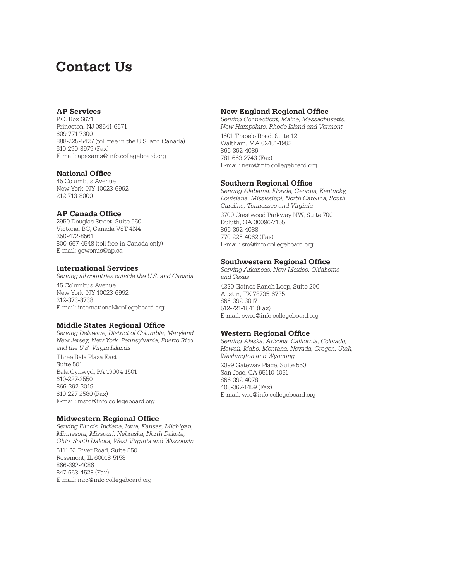# **Contact Us**

#### **AP Services**

P.O. Box 6671 Princeton, NJ 08541-6671 609-771-7300 888-225-5427 (toll free in the U.S. and Canada) 610-290-8979 (Fax) E-mail: apexams@info.collegeboard.org

## **National Office**

45 Columbus Avenue New York, NY 10023-6992 212-713-8000

## **AP Canada Office**

2950 Douglas Street, Suite 550 Victoria, BC, Canada V8T 4N4 250-472-8561 800-667-4548 (toll free in Canada only) E-mail: gewonus@ap.ca

#### **International Services**

*Serving all countries outside the U.S. and Canada* 45 Columbus Avenue

New York, NY 10023-6992 212-373-8738 E-mail: international@collegeboard.org

## **Middle States Regional Office**

*Serving Delaware, District of Columbia, Maryland, New Jersey, New York, Pennsylvania, Puerto Rico and the U.S. Virgin Islands*

Three Bala Plaza East Suite 501 Bala Cynwyd, PA 19004-1501 610-227-2550 866-392-3019 610-227-2580 (Fax) E-mail: msro@info.collegeboard.org

## **Midwestern Regional Office**

*Serving Illinois, Indiana, Iowa, Kansas, Michigan, Minnesota, Missouri, Nebraska, North Dakota, Ohio, South Dakota, West Virginia and Wisconsin*

6111 N. River Road, Suite 550 Rosemont, IL 60018-5158 866-392-4086 847-653-4528 (Fax) E-mail: mro@info.collegeboard.org

#### **New England Regional Office**

*Serving Connecticut, Maine, Massachusetts, New Hampshire, Rhode Island and Vermont*

1601 Trapelo Road, Suite 12 Waltham, MA 02451-1982 866-392-4089 781-663-2743 (Fax) E-mail: nero@info.collegeboard.org

#### **Southern Regional Office**

*Serving Alabama, Florida, Georgia, Kentucky, Louisiana, Mississippi, North Carolina, South Carolina, Tennessee and Virginia*

3700 Crestwood Parkway NW, Suite 700 Duluth, GA 30096-7155 866-392-4088 770-225-4062 (Fax) E-mail: sro@info.collegeboard.org

## **Southwestern Regional Office**

*Serving Arkansas, New Mexico, Oklahoma and Texas*

4330 Gaines Ranch Loop, Suite 200 Austin, TX 78735-6735 866-392-3017 512-721-1841 (Fax) E-mail: swro@info.collegeboard.org

## **Western Regional Office**

*Serving Alaska, Arizona, California, Colorado, Hawaii, Idaho, Montana, Nevada, Oregon, Utah, Washington and Wyoming*

2099 Gateway Place, Suite 550 San Jose, CA 95110-1051 866-392-4078 408-367-1459 (Fax) E-mail: wro@info.collegeboard.org